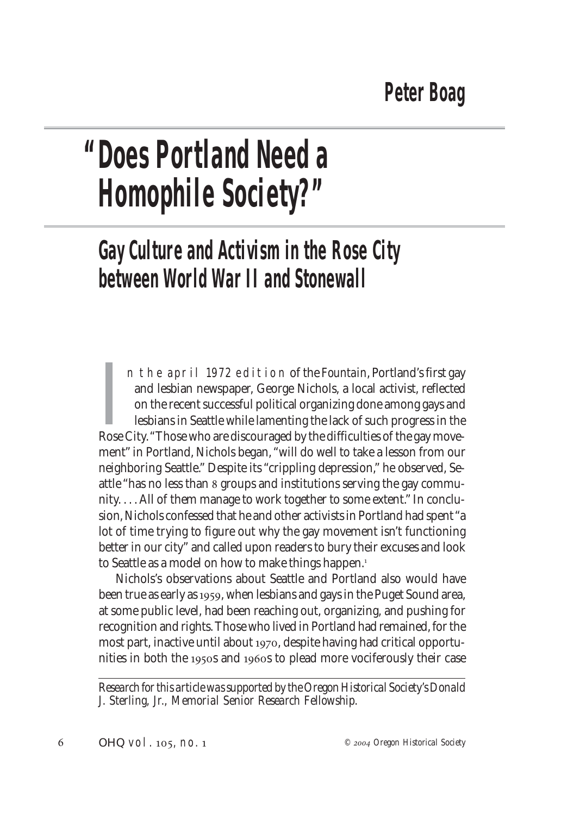## **"Does Portland Need a Homophile Society?"**

## **Gay Culture and Activism in the Rose City between World War II and Stonewall**

In the april 1972 edition of the *Fountain*, Portland's first gay and lesbian newspaper, George Nichols, a local activist, reflected on the recent successful political organizing done among gays and lesbians in Seattle whi n the april 1972 edition of the *Fountain*, Portland's first gay and lesbian newspaper, George Nichols, a local activist, reflected on the recent successful political organizing done among gays and lesbians in Seattle while lamenting the lack of such progress in the ment" in Portland, Nichols began, "will do well to take a lesson from our neighboring Seattle." Despite its "crippling depression," he observed, Seattle "has no less than groups and institutions serving the gay community. . . . All of them manage to work together to some extent." In conclusion, Nichols confessed that he and other activists in Portland had spent "a lot of time trying to figure out why the gay movement isn't functioning better in our city" and called upon readers to bury their excuses and look to Seattle as a model on how to make things happen.

Nichols's observations about Seattle and Portland also would have been true as early as 1959, when lesbians and gays in the Puget Sound area, at some public level, had been reaching out, organizing, and pushing for recognition and rights. Those who lived in Portland had remained, for the most part, inactive until about 1970, despite having had critical opportunities in both the 1950s and 1960s to plead more vociferously their case

*Research for this article was supported by the Oregon Historical Society's Donald J. Sterling, Jr., Memorial Senior Research Fellowship.*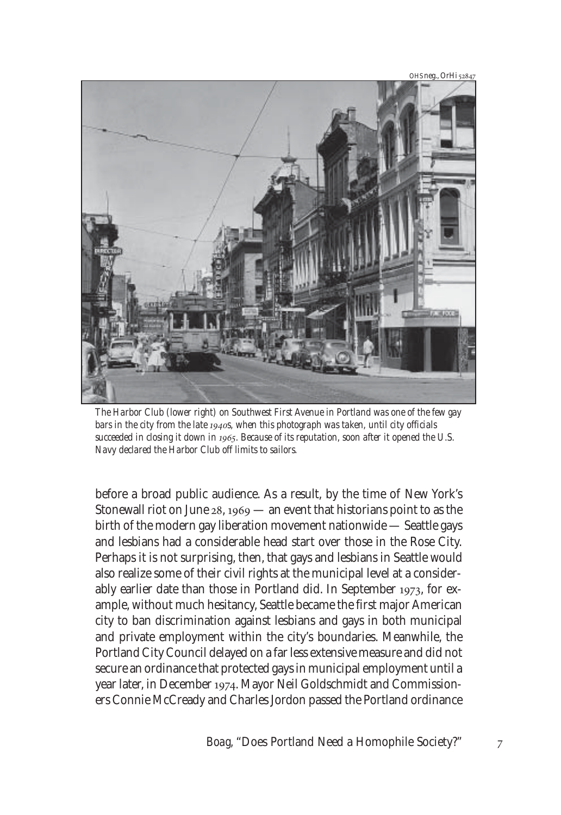OHS neg., OrHi 52847



*The Harbor Club (lower right) on Southwest First Avenue in Portland was one of the few gay* bars in the city from the late 1940s, when this photograph was taken, until city officials *succeeded in closing it down in . Because of its reputation, soon after it opened the U.S. Navy declared the Harbor Club off limits to sailors.*

before a broad public audience. As a result, by the time of New York's Stonewall riot on June  $28$ ,  $1969$  — an event that historians point to as the birth of the modern gay liberation movement nationwide — Seattle gays and lesbians had a considerable head start over those in the Rose City. Perhaps it is not surprising, then, that gays and lesbians in Seattle would also realize some of their civil rights at the municipal level at a considerably earlier date than those in Portland did. In September 1973, for example, without much hesitancy, Seattle became the first major American city to ban discrimination against lesbians and gays in both municipal and private employment within the city's boundaries. Meanwhile, the Portland City Council delayed on a far less extensive measure and did not secure an ordinance that protected gays in municipal employment until a year later, in December 1974. Mayor Neil Goldschmidt and Commissioners Connie McCready and Charles Jordon passed the Portland ordinance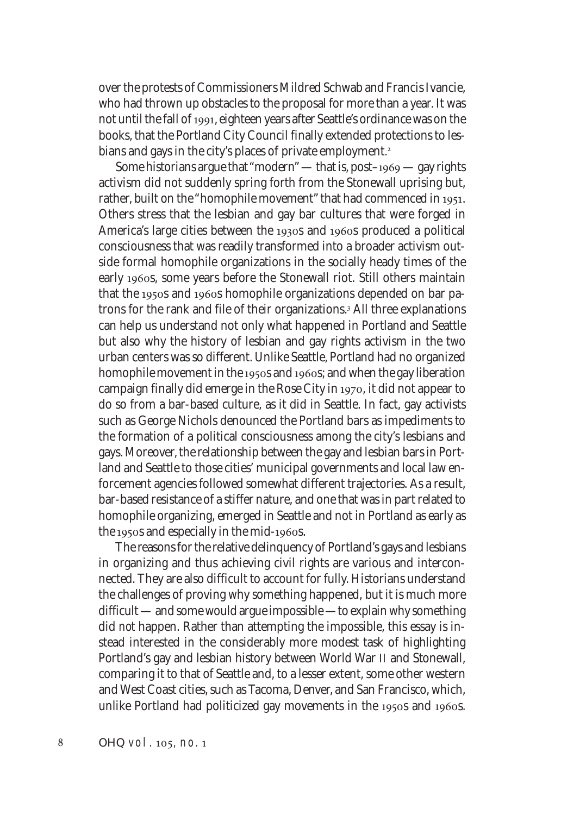over the protests of Commissioners Mildred Schwab and Francis Ivancie, who had thrown up obstacles to the proposal for more than a year. It was not until the fall of 1991, eighteen years after Seattle's ordinance was on the books, that the Portland City Council finally extended protections to lesbians and gays in the city's places of private employment.

Some historians argue that "modern" — that is, post-1969 — gay rights activism did not suddenly spring forth from the Stonewall uprising but, rather, built on the "homophile movement" that had commenced in 1951. Others stress that the lesbian and gay bar cultures that were forged in America's large cities between the 1930s and 1960s produced a political consciousness that was readily transformed into a broader activism outside formal homophile organizations in the socially heady times of the early 1960s, some years before the Stonewall riot. Still others maintain that the 1950s and 1960s homophile organizations depended on bar patrons for the rank and file of their organizations.<sup>3</sup> All three explanations can help us understand not only what happened in Portland and Seattle but also why the history of lesbian and gay rights activism in the two urban centers was so different. Unlike Seattle, Portland had no organized homophile movement in the 1950s and 1960s; and when the gay liberation campaign finally did emerge in the Rose City in 1970, it did not appear to do so from a bar-based culture, as it did in Seattle. In fact, gay activists such as George Nichols denounced the Portland bars as impediments to the formation of a political consciousness among the city's lesbians and gays. Moreover, the relationship between the gay and lesbian bars in Portland and Seattle to those cities' municipal governments and local law enforcement agencies followed somewhat different trajectories. As a result, bar-based resistance of a stiffer nature, and one that was in part related to homophile organizing, emerged in Seattle and not in Portland as early as the 1950s and especially in the mid-1960s.

The reasons for the relative delinquency of Portland's gays and lesbians in organizing and thus achieving civil rights are various and interconnected. They are also difficult to account for fully. Historians understand the challenges of proving why something happened, but it is much more difficult — and some would argue impossible —to explain why something did *not* happen. Rather than attempting the impossible, this essay is instead interested in the considerably more modest task of highlighting Portland's gay and lesbian history between World War II and Stonewall, comparing it to that of Seattle and, to a lesser extent, some other western and West Coast cities, such as Tacoma, Denver, and San Francisco, which, unlike Portland had politicized gay movements in the 1950s and 1960s.

8 *OHQ* vol. 105, no. 1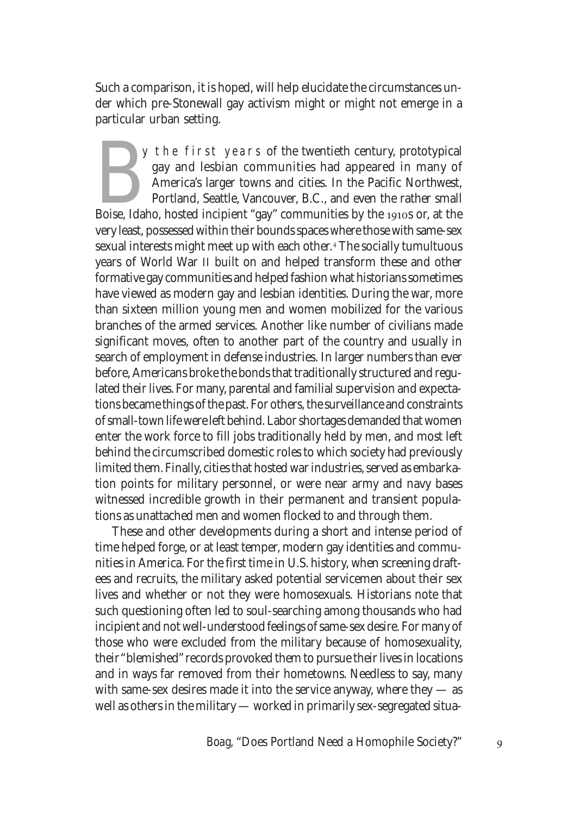Such a comparison, it is hoped, will help elucidate the circumstances under which pre-Stonewall gay activism might or might not emerge in a particular urban setting.

Boise, Idaho, hosted incipient "gay" communities had appeared in many of America's larger towns and cities. In the Pacific Northwest, Portland, Seattle, Vancouver, B.C., and even the rather small Boise, Idaho, hosted incip y the first years of the twentieth century, prototypical gay and lesbian communities had appeared in many of America's larger towns and cities. In the Pacific Northwest, Portland, Seattle, Vancouver, B.C., and even the rather small very least, possessed within their bounds spaces where those with same-sex sexual interests might meet up with each other. The socially tumultuous years of World War II built on and helped transform these and other formative gay communities and helped fashion what historians sometimes have viewed as modern gay and lesbian identities. During the war, more than sixteen million young men and women mobilized for the various branches of the armed services. Another like number of civilians made significant moves, often to another part of the country and usually in search of employment in defense industries. In larger numbers than ever before, Americans broke the bonds that traditionally structured and regulated their lives. For many, parental and familial supervision and expectations became things of the past. For others, the surveillance and constraints of small-town life were left behind. Labor shortages demanded that women enter the work force to fill jobs traditionally held by men, and most left behind the circumscribed domestic roles to which society had previously limited them. Finally, cities that hosted war industries, served as embarkation points for military personnel, or were near army and navy bases witnessed incredible growth in their permanent and transient populations as unattached men and women flocked to and through them.

These and other developments during a short and intense period of time helped forge, or at least temper, modern gay identities and communities in America. For the first time in U.S. history, when screening draftees and recruits, the military asked potential servicemen about their sex lives and whether or not they were homosexuals. Historians note that such questioning often led to soul-searching among thousands who had incipient and not well-understood feelings of same-sex desire. For many of those who were excluded from the military because of homosexuality, their "blemished" records provoked them to pursue their lives in locations and in ways far removed from their hometowns. Needless to say, many with same-sex desires made it into the service anyway, where they  $-$  as well as others in the military — worked in primarily sex-segregated situa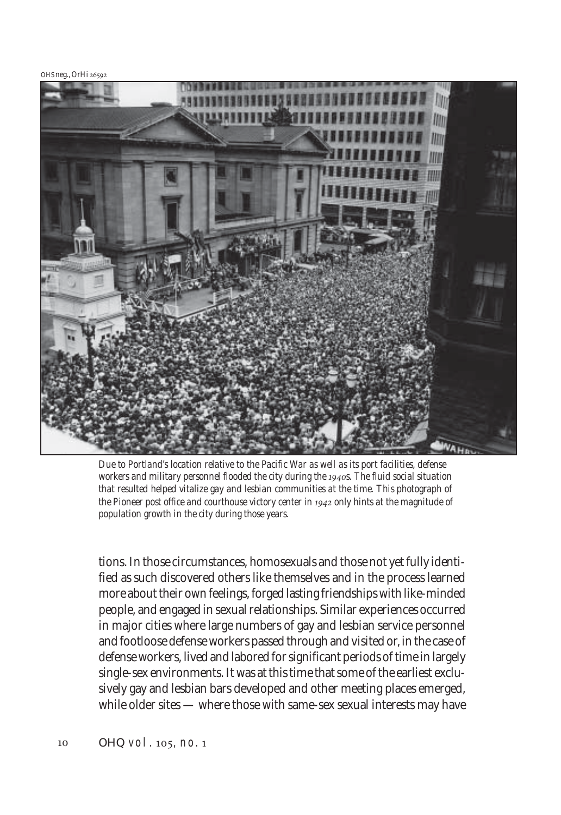OHS neg., OrHi



*Due to Portland's location relative to the Pacific War as well as its port facilities, defense* workers and military personnel flooded the city during the 1940s. The fluid social situation *that resulted helped vitalize gay and lesbian communities at the time. This photograph of* the Pioneer post office and courthouse victory center in 1942 only hints at the magnitude of *population growth in the city during those years.*

tions. In those circumstances, homosexuals and those not yet fully identified as such discovered others like themselves and in the process learned more about their own feelings, forged lasting friendships with like-minded people, and engaged in sexual relationships. Similar experiences occurred in major cities where large numbers of gay and lesbian service personnel and footloose defense workers passed through and visited or, in the case of defense workers, lived and labored for significant periods of time in largely single-sex environments. It was at this time that some of the earliest exclusively gay and lesbian bars developed and other meeting places emerged, while older sites — where those with same-sex sexual interests may have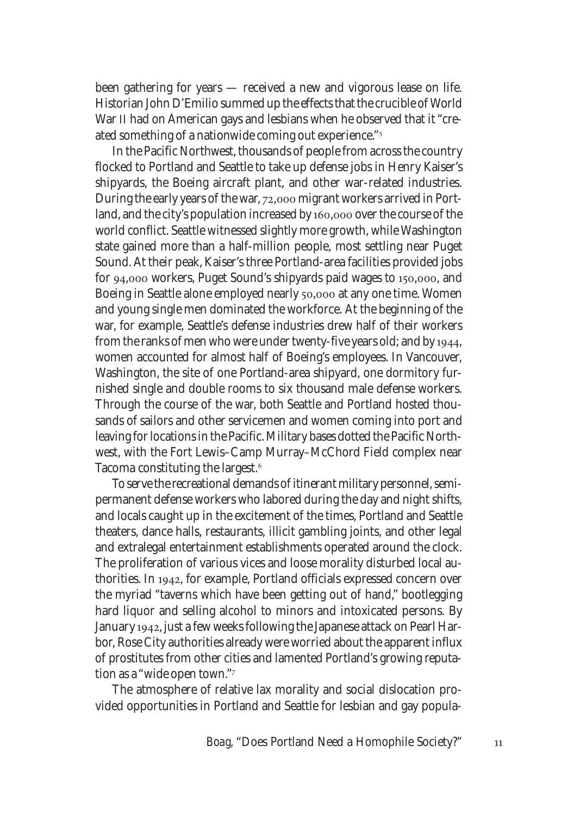been gathering for years — received a new and vigorous lease on life. Historian John D'Emilio summed up the effects that the crucible of World War II had on American gays and lesbians when he observed that it "created something of a nationwide coming out experience."

In the Pacific Northwest, thousands of people from across the country flocked to Portland and Seattle to take up defense jobs in Henry Kaiser's shipyards, the Boeing aircraft plant, and other war-related industries. During the early years of the war, 72,000 migrant workers arrived in Portland, and the city's population increased by 160,000 over the course of the world conflict. Seattle witnessed slightly more growth, while Washington state gained more than a half-million people, most settling near Puget Sound. At their peak, Kaiser's three Portland-area facilities provided jobs for 94,000 workers, Puget Sound's shipyards paid wages to 150,000, and Boeing in Seattle alone employed nearly 50,000 at any one time. Women and young single men dominated the workforce. At the beginning of the war, for example, Seattle's defense industries drew half of their workers from the ranks of men who were under twenty-five years old; and by 1944, women accounted for almost half of Boeing's employees. In Vancouver, Washington, the site of one Portland-area shipyard, one dormitory furnished single and double rooms to six thousand male defense workers. Through the course of the war, both Seattle and Portland hosted thousands of sailors and other servicemen and women coming into port and leaving for locations in the Pacific. Military bases dotted the Pacific Northwest, with the Fort Lewis–Camp Murray–McChord Field complex near Tacoma constituting the largest.

To serve the recreational demands of itinerant military personnel, semipermanent defense workers who labored during the day and night shifts, and locals caught up in the excitement of the times, Portland and Seattle theaters, dance halls, restaurants, illicit gambling joints, and other legal and extralegal entertainment establishments operated around the clock. The proliferation of various vices and loose morality disturbed local authorities. In 1942, for example, Portland officials expressed concern over the myriad "taverns which have been getting out of hand," bootlegging hard liquor and selling alcohol to minors and intoxicated persons. By January 1942, just a few weeks following the Japanese attack on Pearl Harbor, Rose City authorities already were worried about the apparent influx of prostitutes from other cities and lamented Portland's growing reputation as a "wide open town."

The atmosphere of relative lax morality and social dislocation provided opportunities in Portland and Seattle for lesbian and gay popula-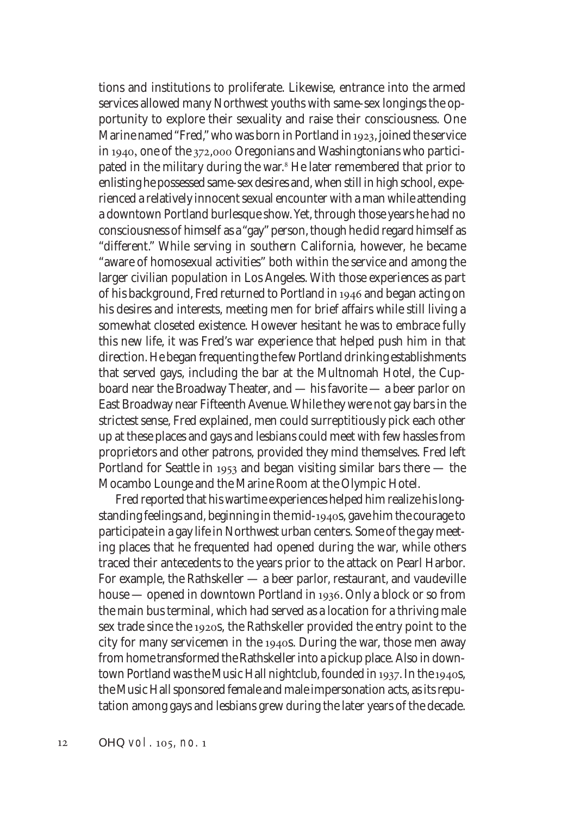tions and institutions to proliferate. Likewise, entrance into the armed services allowed many Northwest youths with same-sex longings the opportunity to explore their sexuality and raise their consciousness. One Marine named "Fred," who was born in Portland in 1923, joined the service in 1940, one of the  $372,000$  Oregonians and Washingtonians who participated in the military during the war.<sup>8</sup> He later remembered that prior to enlisting he possessed same-sex desires and, when still in high school, experienced a relatively innocent sexual encounter with a man while attending a downtown Portland burlesque show. Yet, through those years he had no consciousness of himself as a "gay" person, though he did regard himself as "different." While serving in southern California, however, he became "aware of homosexual activities" both within the service and among the larger civilian population in Los Angeles. With those experiences as part of his background, Fred returned to Portland in 1946 and began acting on his desires and interests, meeting men for brief affairs while still living a somewhat closeted existence. However hesitant he was to embrace fully this new life, it was Fred's war experience that helped push him in that direction. He began frequenting the few Portland drinking establishments that served gays, including the bar at the Multnomah Hotel, the Cupboard near the Broadway Theater, and — his favorite — a beer parlor on East Broadway near Fifteenth Avenue. While they were not gay bars in the strictest sense, Fred explained, men could surreptitiously pick each other up at these places and gays and lesbians could meet with few hassles from proprietors and other patrons, provided they mind themselves. Fred left Portland for Seattle in  $1953$  and began visiting similar bars there  $-$  the Mocambo Lounge and the Marine Room at the Olympic Hotel.

Fred reported that his wartime experiences helped him realize his longstanding feelings and, beginning in the mid-1940s, gave him the courage to participate in a gay life in Northwest urban centers. Some of the gay meeting places that he frequented had opened during the war, while others traced their antecedents to the years prior to the attack on Pearl Harbor. For example, the Rathskeller — a beer parlor, restaurant, and vaudeville house — opened in downtown Portland in 1936. Only a block or so from the main bus terminal, which had served as a location for a thriving male sex trade since the 1920s, the Rathskeller provided the entry point to the city for many servicemen in the 1940s. During the war, those men away from home transformed the Rathskeller into a pickup place. Also in downtown Portland was the Music Hall nightclub, founded in 1937. In the 1940s, the Music Hall sponsored female and male impersonation acts, as its reputation among gays and lesbians grew during the later years of the decade.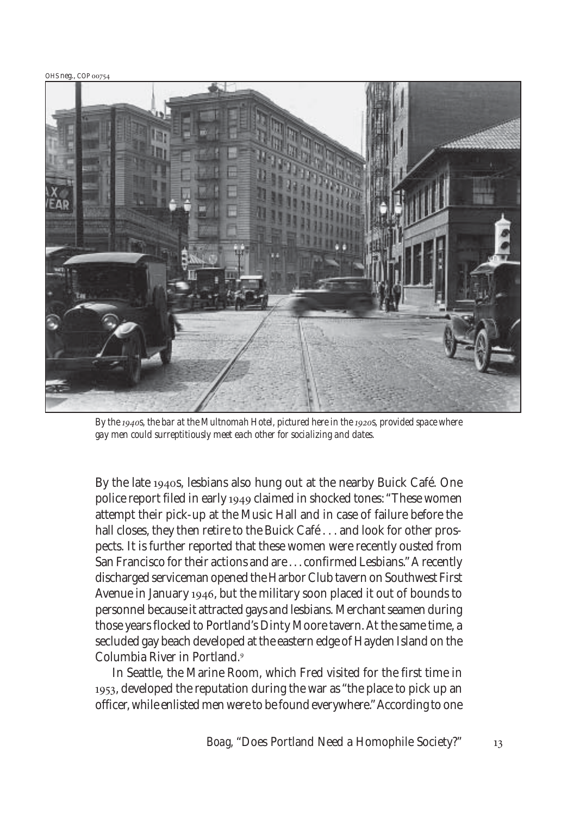OHS neg., COP 00754



By the 1940s, the bar at the Multnomah Hotel, pictured here in the 1920s, provided space where *gay men could surreptitiously meet each other for socializing and dates.*

By the late 1940s, lesbians also hung out at the nearby Buick Café. One police report filed in early 1949 claimed in shocked tones: "These women attempt their pick-up at the Music Hall and in case of failure before the hall closes, they then retire to the Buick Café . . . and look for other prospects. It is further reported that these women were recently ousted from San Francisco for their actions and are . . . confirmed Lesbians." A recently discharged serviceman opened the Harbor Club tavern on Southwest First Avenue in January 1946, but the military soon placed it out of bounds to personnel because it attracted gays and lesbians. Merchant seamen during those years flocked to Portland's Dinty Moore tavern. At the same time, a secluded gay beach developed at the eastern edge of Hayden Island on the Columbia River in Portland.

In Seattle, the Marine Room, which Fred visited for the first time in 1953, developed the reputation during the war as "the place to pick up an officer, while enlisted men were to be found everywhere." According to one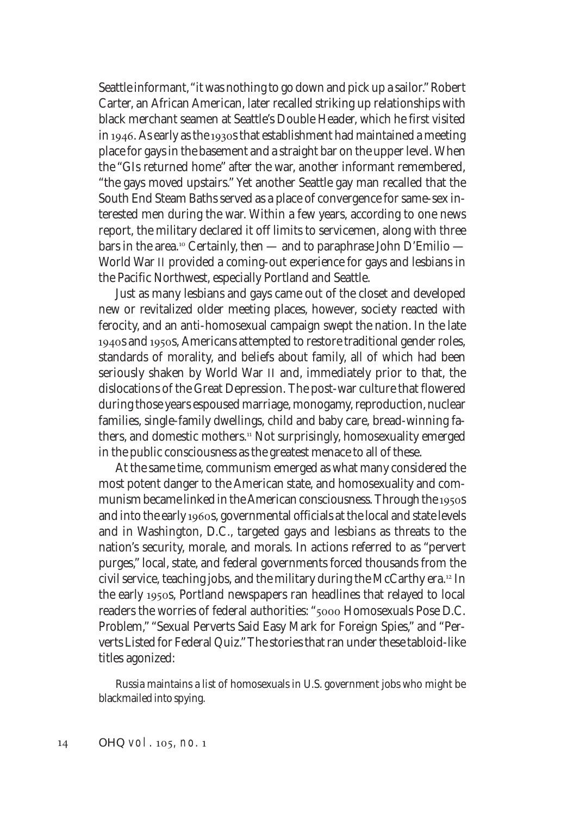Seattle informant, "it was nothing to go down and pick up a sailor." Robert Carter, an African American, later recalled striking up relationships with black merchant seamen at Seattle's Double Header, which he first visited in 1946. As early as the 1930s that establishment had maintained a meeting place for gays in the basement and a straight bar on the upper level. When the "GIs returned home" after the war, another informant remembered, "the gays moved upstairs." Yet another Seattle gay man recalled that the South End Steam Baths served as a place of convergence for same-sex interested men during the war. Within a few years, according to one news report, the military declared it off limits to servicemen, along with three bars in the area.<sup>10</sup> Certainly, then — and to paraphrase John D'Emilio — World War II provided a coming-out experience for gays and lesbians in the Pacific Northwest, especially Portland and Seattle.

Just as many lesbians and gays came out of the closet and developed new or revitalized older meeting places, however, society reacted with ferocity, and an anti-homosexual campaign swept the nation. In the late 1940s and 1950s, Americans attempted to restore traditional gender roles, standards of morality, and beliefs about family, all of which had been seriously shaken by World War II and, immediately prior to that, the dislocations of the Great Depression. The post-war culture that flowered during those years espoused marriage, monogamy, reproduction, nuclear families, single-family dwellings, child and baby care, bread-winning fathers, and domestic mothers.<sup>11</sup> Not surprisingly, homosexuality emerged in the public consciousness as the greatest menace to all of these.

At the same time, communism emerged as what many considered the most potent danger to the American state, and homosexuality and communism became linked in the American consciousness. Through the 1950s and into the early 1960s, governmental officials at the local and state levels and in Washington, D.C., targeted gays and lesbians as threats to the nation's security, morale, and morals. In actions referred to as "pervert purges," local, state, and federal governments forced thousands from the civil service, teaching jobs, and the military during the McCarthy era.<sup>12</sup> In the early 1950s, Portland newspapers ran headlines that relayed to local readers the worries of federal authorities: "5000 Homosexuals Pose D.C. Problem," "Sexual Perverts Said Easy Mark for Foreign Spies," and "Perverts Listed for Federal Quiz." The stories that ran under these tabloid-like titles agonized:

Russia maintains a list of homosexuals in U.S. government jobs who might be blackmailed into spying.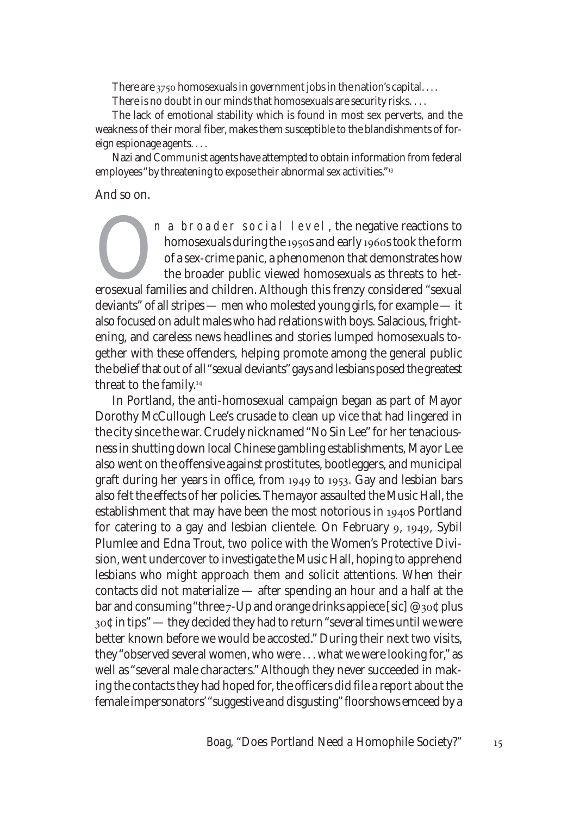There are  $3750$  homosexuals in government jobs in the nation's capital....

There is no doubt in our minds that homosexuals are security risks. . . .

The lack of emotional stability which is found in most sex perverts, and the weakness of their moral fiber, makes them susceptible to the blandishments of foreign espionage agents. . . .

Nazi and Communist agents have attempted to obtain information from federal employees "by threatening to expose their abnormal sex activities."<sup>13</sup>

## And so on.

In a broader social level, the negative reactions to<br>homosexuals during the 1950s and early 1960s took the form<br>of a sex-crime panic, a phenomenon that demonstrates how<br>the broader public viewed homosexuals as threats to h homosexuals during the 1950s and early 1960s took the form of a sex-crime panic, a phenomenon that demonstrates how the broader public viewed homosexuals as threats to hetdeviants" of all stripes — men who molested young girls, for example — it also focused on adult males who had relations with boys. Salacious, frightening, and careless news headlines and stories lumped homosexuals together with these offenders, helping promote among the general public the belief that out of all "sexual deviants" gays and lesbians posed the greatest threat to the family.

In Portland, the anti-homosexual campaign began as part of Mayor Dorothy McCullough Lee's crusade to clean up vice that had lingered in the city since the war. Crudely nicknamed "No Sin Lee" for her tenaciousness in shutting down local Chinese gambling establishments, Mayor Lee also went on the offensive against prostitutes, bootleggers, and municipal graft during her years in office, from  $1949$  to  $1953$ . Gay and lesbian bars also felt the effects of her policies. The mayor assaulted the Music Hall, the establishment that may have been the most notorious in 1940s Portland for catering to a gay and lesbian clientele. On February 9, 1949, Sybil Plumlee and Edna Trout, two police with the Women's Protective Division, went undercover to investigate the Music Hall, hoping to apprehend lesbians who might approach them and solicit attentions. When their contacts did not materialize — after spending an hour and a half at the bar and consuming "three  $7$ -Up and orange drinks appiece  $[sic]$  @  $30\zeta$  plus  $_{30}$  $\circ$  in tips" — they decided they had to return "several times until we were better known before we would be accosted." During their next two visits, they "observed several women, who were . . . what we were looking for," as well as "several male characters." Although they never succeeded in making the contacts they had hoped for, the officers did file a report about the female impersonators' "suggestive and disgusting" floorshows emceed by a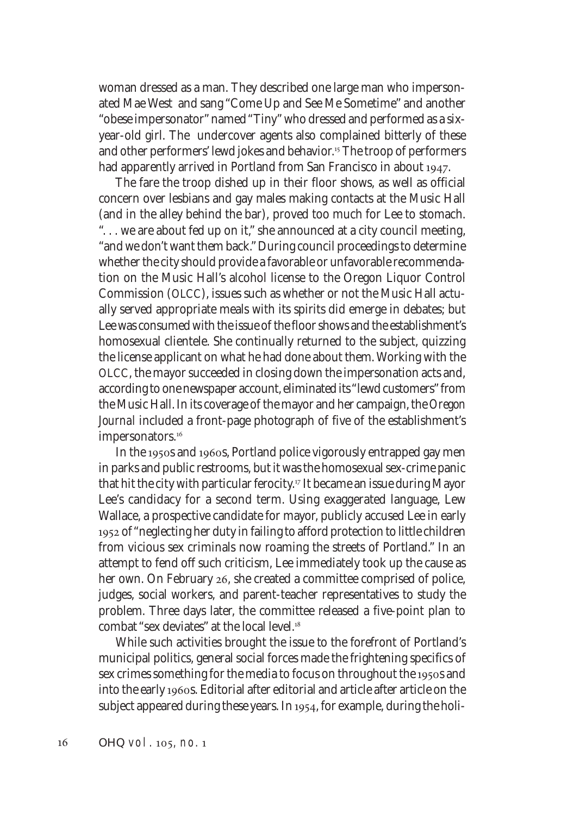woman dressed as a man. They described one large man who impersonated Mae West and sang "Come Up and See Me Sometime" and another "obese impersonator" named "Tiny" who dressed and performed as a sixyear-old girl. The undercover agents also complained bitterly of these and other performers' lewd jokes and behavior.<sup>15</sup> The troop of performers had apparently arrived in Portland from San Francisco in about 1947.

The fare the troop dished up in their floor shows, as well as official concern over lesbians and gay males making contacts at the Music Hall (and in the alley behind the bar), proved too much for Lee to stomach. ". . . we are about fed up on it," she announced at a city council meeting, "and we don't want them back." During council proceedings to determine whether the city should provide a favorable or unfavorable recommendation on the Music Hall's alcohol license to the Oregon Liquor Control Commission (OLCC), issues such as whether or not the Music Hall actually served appropriate meals with its spirits did emerge in debates; but Lee was consumed with the issue of the floor shows and the establishment's homosexual clientele. She continually returned to the subject, quizzing the license applicant on what he had done about them. Working with the OLCC, the mayor succeeded in closing down the impersonation acts and, according to one newspaper account, eliminated its "lewd customers" from the Music Hall. In its coverage of the mayor and her campaign, the *Oregon Journal* included a front-page photograph of five of the establishment's impersonators.<sup>16</sup>

In the 1950s and 1960s, Portland police vigorously entrapped gay men in parks and public restrooms, but it was the homosexual sex-crime panic that hit the city with particular ferocity.<sup>17</sup> It became an issue during Mayor Lee's candidacy for a second term. Using exaggerated language, Lew Wallace, a prospective candidate for mayor, publicly accused Lee in early 1952 of "neglecting her duty in failing to afford protection to little children from vicious sex criminals now roaming the streets of Portland." In an attempt to fend off such criticism, Lee immediately took up the cause as her own. On February 26, she created a committee comprised of police, judges, social workers, and parent-teacher representatives to study the problem. Three days later, the committee released a five-point plan to combat "sex deviates" at the local level.

While such activities brought the issue to the forefront of Portland's municipal politics, general social forces made the frightening specifics of sex crimes something for the media to focus on throughout the 1950s and into the early 1960s. Editorial after editorial and article after article on the subject appeared during these years. In 1954, for example, during the holi-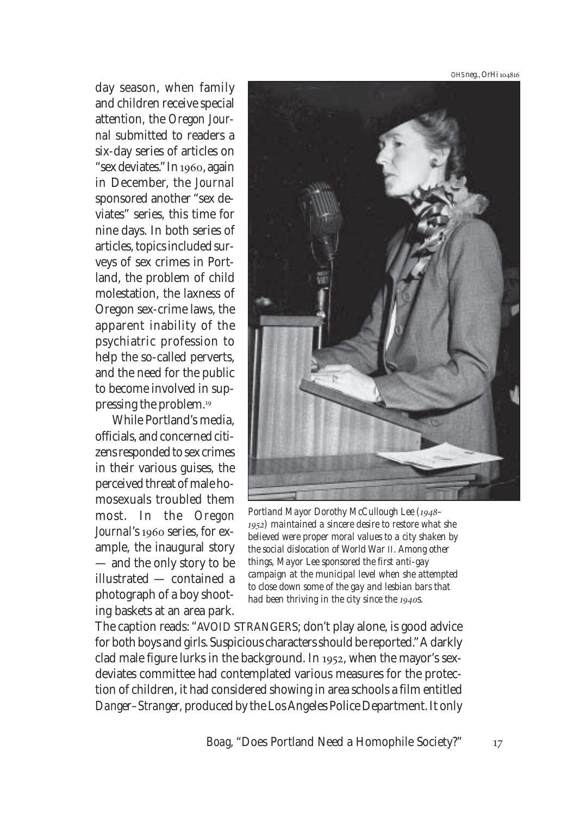OHS neg., OrHi

day season, when family and children receive special attention, the *Oregon Journal* submitted to readers a six-day series of articles on "sex deviates." In 1960, again in December, the *Journal* sponsored another "sex deviates" series, this time for nine days. In both series of articles, topics included surveys of sex crimes in Portland, the problem of child molestation, the laxness of Oregon sex-crime laws, the apparent inability of the psychiatric profession to help the so-called perverts, and the need for the public to become involved in suppressing the problem.

While Portland's media, officials, and concerned citizens responded to sex crimes in their various guises, the perceived threat of male homosexuals troubled them most. In the *Oregon Journal*'s 1960 series, for example, the inaugural story — and the only story to be illustrated — contained a photograph of a boy shooting baskets at an area park.



Portland Mayor Dorothy McCullough Lee (1948-*) maintained a sincere desire to restore what she believed were proper moral values to a city shaken by the social dislocation of World War II. Among other things, Mayor Lee sponsored the first anti-gay campaign at the municipal level when she attempted to close down some of the gay and lesbian bars that had been thriving in the city since the 1940s.* 

The caption reads: "AVOID STRANGERS; don't play alone, is good advice for both boys and girls. Suspicious characters should be reported." A darkly clad male figure lurks in the background. In 1952, when the mayor's sexdeviates committee had contemplated various measures for the protection of children, it had considered showing in area schools a film entitled *Danger–Stranger,* produced by the Los Angeles Police Department. It only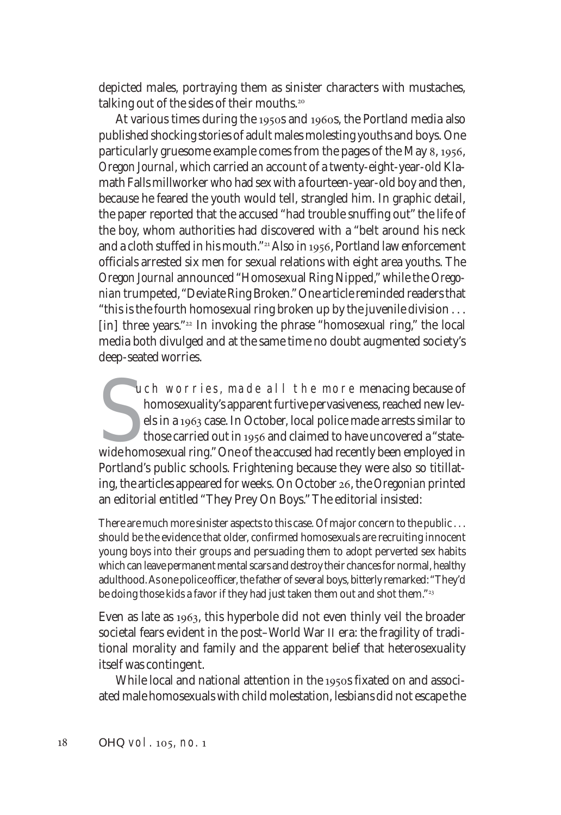depicted males, portraying them as sinister characters with mustaches, talking out of the sides of their mouths.

At various times during the 1950s and 1960s, the Portland media also published shocking stories of adult males molesting youths and boys. One particularly gruesome example comes from the pages of the May 8, 1956, *Oregon Journal*, which carried an account of a twenty-eight-year-old Klamath Falls millworker who had sex with a fourteen-year-old boy and then, because he feared the youth would tell, strangled him. In graphic detail, the paper reported that the accused "had trouble snuffing out" the life of the boy, whom authorities had discovered with a "belt around his neck and a cloth stuffed in his mouth."<sup>21</sup> Also in 1956, Portland law enforcement officials arrested six men for sexual relations with eight area youths. The *Oregon Journal* announced "Homosexual Ring Nipped," while the *Oregonian* trumpeted, "Deviate Ring Broken." One article reminded readers that "this is the fourth homosexual ring broken up by the juvenile division . . . [in] three years." $22$  In invoking the phrase "homosexual ring," the local media both divulged and at the same time no doubt augmented society's deep-seated worries.

uch worries, made all the more menacing because of homosexuality's apparent furtive pervasiveness, reached new levels in a 1963 case. In October, local police made arrests similar to those carried out in 1956 and claimed t uch worries, made all the more menacing because of homosexuality's apparent furtive pervasiveness, reached new levels in a 1963 case. In October, local police made arrests similar to those carried out in 1956 and claimed to have uncovered a "state-Portland's public schools. Frightening because they were also so titillating, the articles appeared for weeks. On October 26, the *Oregonian* printed an editorial entitled "They Prey On Boys." The editorial insisted:

There are much more sinister aspects to this case. Of major concern to the public ... should be the evidence that older, confirmed homosexuals are recruiting innocent young boys into their groups and persuading them to adopt perverted sex habits which can leave permanent mental scars and destroy their chances for normal, healthy adulthood. As one police officer, the father of several boys, bitterly remarked: "They'd be doing those kids a favor if they had just taken them out and shot them."<sup>23</sup>

Even as late as 1963, this hyperbole did not even thinly veil the broader societal fears evident in the post–World War II era: the fragility of traditional morality and family and the apparent belief that heterosexuality itself was contingent.

While local and national attention in the 1950s fixated on and associated male homosexuals with child molestation, lesbians did not escape the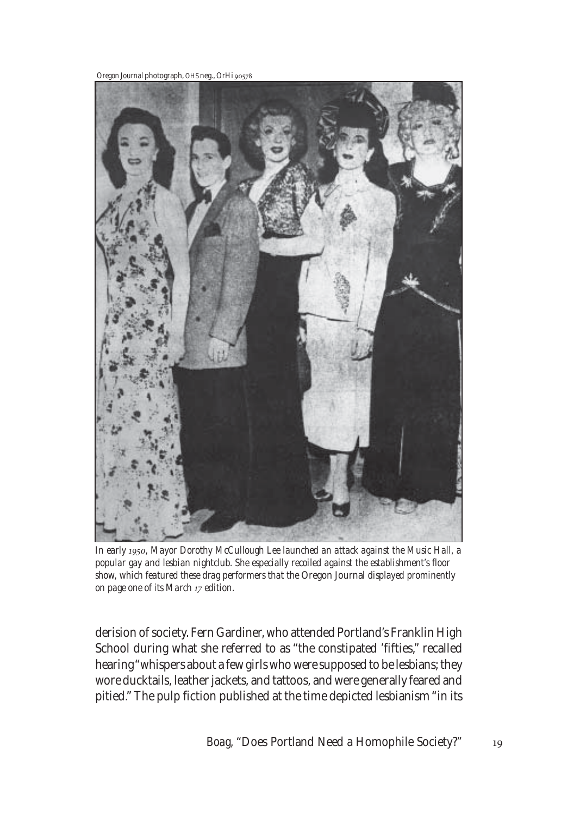*Oregon Journal* photograph, OHS neg., OrHi



*In early , Mayor Dorothy McCullough Lee launched an attack against the Music Hall, a popular gay and lesbian nightclub. She especially recoiled against the establishment's floor show, which featured these drag performers that the* Oregon Journal *displayed prominently on page one of its March 17 edition.* 

derision of society. Fern Gardiner, who attended Portland's Franklin High School during what she referred to as "the constipated 'fifties," recalled hearing "whispers about a few girls who were supposed to be lesbians; they wore ducktails, leather jackets, and tattoos, and were generally feared and pitied." The pulp fiction published at the time depicted lesbianism "in its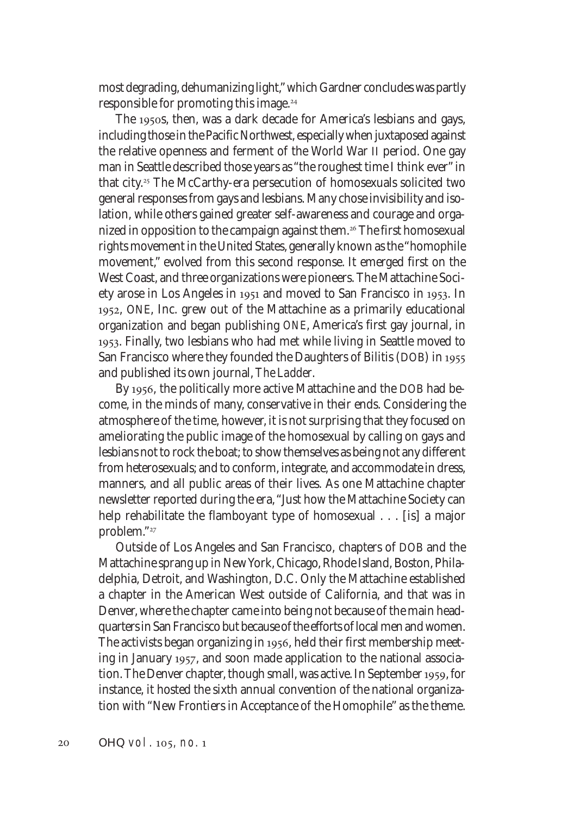most degrading, dehumanizing light," which Gardner concludes was partly responsible for promoting this image.

The 1950s, then, was a dark decade for America's lesbians and gays, including those in the Pacific Northwest, especially when juxtaposed against the relative openness and ferment of the World War II period. One gay man in Seattle described those years as "the roughest time I think ever" in that city.<sup>25</sup> The McCarthy-era persecution of homosexuals solicited two general responses from gays and lesbians. Many chose invisibility and isolation, while others gained greater self-awareness and courage and organized in opposition to the campaign against them.<sup>26</sup> The first homosexual rights movement in the United States, generally known as the "homophile movement," evolved from this second response. It emerged first on the West Coast, and three organizations were pioneers. The Mattachine Society arose in Los Angeles in  $1951$  and moved to San Francisco in  $1953$ . In 1952, ONE, Inc. grew out of the Mattachine as a primarily educational organization and began publishing *ONE*, America's first gay journal, in . Finally, two lesbians who had met while living in Seattle moved to San Francisco where they founded the Daughters of Bilitis (DOB) in and published its own journal, *The Ladder*.

By 1956, the politically more active Mattachine and the DOB had become, in the minds of many, conservative in their ends. Considering the atmosphere of the time, however, it is not surprising that they focused on ameliorating the public image of the homosexual by calling on gays and lesbians not to rock the boat; to show themselves as being not any different from heterosexuals; and to conform, integrate, and accommodate in dress, manners, and all public areas of their lives. As one Mattachine chapter newsletter reported during the era, "Just how the Mattachine Society can help rehabilitate the flamboyant type of homosexual . . . [is] a major problem."

Outside of Los Angeles and San Francisco, chapters of DOB and the Mattachine sprang up in New York, Chicago, Rhode Island, Boston, Philadelphia, Detroit, and Washington, D.C. Only the Mattachine established a chapter in the American West outside of California, and that was in Denver, where the chapter came into being not because of the main headquarters in San Francisco but because of the efforts of local men and women. The activists began organizing in 1956, held their first membership meeting in January 1957, and soon made application to the national association. The Denver chapter, though small, was active. In September 1959, for instance, it hosted the sixth annual convention of the national organization with "New Frontiers in Acceptance of the Homophile" as the theme.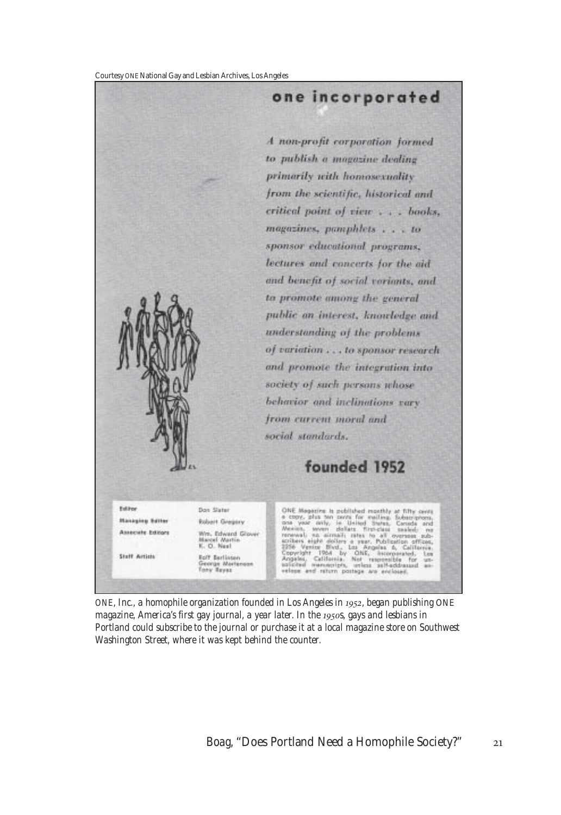Courtesy ONE National Gay and Lesbian Archives, Los Angeles



*ONE, Inc., a homophile organization founded in Los Angeles in 1952, began publishing ONE magazine, America's first gay journal, a year later. In the 1950s, gays and lesbians in Portland could subscribe to the journal or purchase it at a local magazine store on Southwest Washington Street, where it was kept behind the counter.*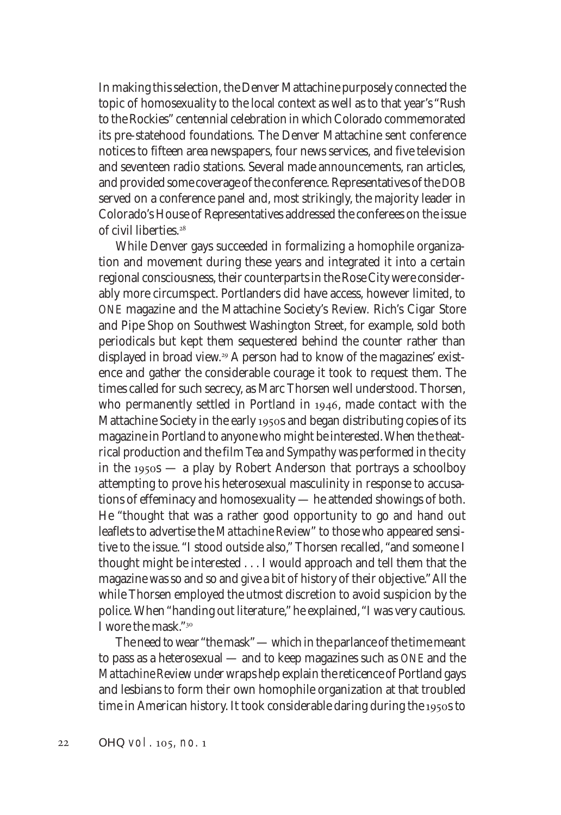In making this selection, the Denver Mattachine purposely connected the topic of homosexuality to the local context as well as to that year's "Rush to the Rockies" centennial celebration in which Colorado commemorated its pre-statehood foundations. The Denver Mattachine sent conference notices to fifteen area newspapers, four news services, and five television and seventeen radio stations. Several made announcements, ran articles, and provided some coverage of the conference. Representatives of the DOB served on a conference panel and, most strikingly, the majority leader in Colorado's House of Representatives addressed the conferees on the issue of civil liberties.

While Denver gays succeeded in formalizing a homophile organization and movement during these years and integrated it into a certain regional consciousness, their counterparts in the Rose City were considerably more circumspect. Portlanders did have access, however limited, to *ONE* magazine and the Mattachine Society's *Review.* Rich's Cigar Store and Pipe Shop on Southwest Washington Street, for example, sold both periodicals but kept them sequestered behind the counter rather than displayed in broad view.<sup>29</sup> A person had to know of the magazines' existence and gather the considerable courage it took to request them. The times called for such secrecy, as Marc Thorsen well understood. Thorsen, who permanently settled in Portland in 1946, made contact with the Mattachine Society in the early 1950s and began distributing copies of its magazine in Portland to anyone who might be interested. When the theatrical production and the film *Tea and Sympathy* was performed in the city in the 1950s  $-$  a play by Robert Anderson that portrays a schoolboy attempting to prove his heterosexual masculinity in response to accusations of effeminacy and homosexuality — he attended showings of both. He "thought that was a rather good opportunity to go and hand out leaflets to advertise the *Mattachine Review*" to those who appeared sensitive to the issue. "I stood outside also," Thorsen recalled, "and someone I thought might be interested . . . I would approach and tell them that the magazine was so and so and give a bit of history of their objective." All the while Thorsen employed the utmost discretion to avoid suspicion by the police. When "handing out literature," he explained, "I was very cautious. I wore the mask."

The need to wear "the mask" — which in the parlance of the time meant to pass as a heterosexual — and to keep magazines such as *ONE* and the *Mattachine Review* under wraps help explain the reticence of Portland gays and lesbians to form their own homophile organization at that troubled time in American history. It took considerable daring during the 1950s to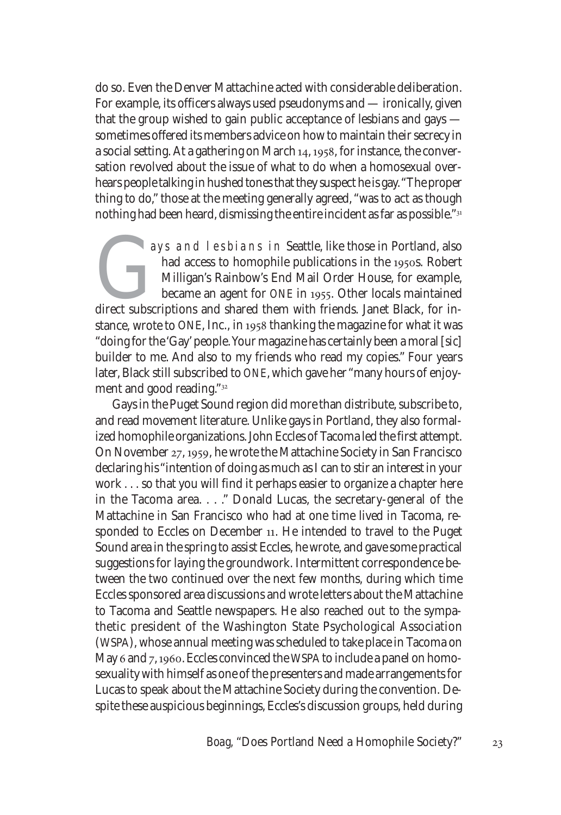do so. Even the Denver Mattachine acted with considerable deliberation. For example, its officers always used pseudonyms and — ironically, given that the group wished to gain public acceptance of lesbians and gays sometimes offered its members advice on how to maintain their secrecy in a social setting. At a gathering on March  $14, 1958$ , for instance, the conversation revolved about the issue of what to do when a homosexual overhears people talking in hushed tones that they suspect he is gay. "The proper thing to do," those at the meeting generally agreed, "was to act as though nothing had been heard, dismissing the entire incident as far as possible."

ays and lesbians in Seattle, like those in Portland, also<br>had access to homophile publications in the 1950s. Robert<br>Milligan's Rainbow's End Mail Order House, for example,<br>became an agent for *ONE* in 1955. Other locals ma had access to homophile publications in the 1950s. Robert Milligan's Rainbow's End Mail Order House, for example, became an agent for *ONE* in 1955. Other locals maintained stance, wrote to ONE, Inc., in 1958 thanking the magazine for what it was "doing for the 'Gay' people. Your magazine has certainly been a moral [*sic*] builder to me. And also to my friends who read my copies." Four years later, Black still subscribed to *ONE*, which gave her "many hours of enjoyment and good reading."

Gays in the Puget Sound region did more than distribute, subscribe to, and read movement literature. Unlike gays in Portland, they also formalized homophile organizations. John Eccles of Tacoma led the first attempt. On November  $27, 1959$ , he wrote the Mattachine Society in San Francisco declaring his "intention of doing as much as I can to stir an interest in your work . . . so that you will find it perhaps easier to organize a chapter here in the Tacoma area. . . ." Donald Lucas, the secretary-general of the Mattachine in San Francisco who had at one time lived in Tacoma, responded to Eccles on December 11. He intended to travel to the Puget Sound area in the spring to assist Eccles, he wrote, and gave some practical suggestions for laying the groundwork. Intermittent correspondence between the two continued over the next few months, during which time Eccles sponsored area discussions and wrote letters about the Mattachine to Tacoma and Seattle newspapers. He also reached out to the sympathetic president of the Washington State Psychological Association (WSPA), whose annual meeting was scheduled to take place in Tacoma on May 6 and 7, 1960. Eccles convinced the WSPA to include a panel on homosexuality with himself as one of the presenters and made arrangements for Lucas to speak about the Mattachine Society during the convention. Despite these auspicious beginnings, Eccles's discussion groups, held during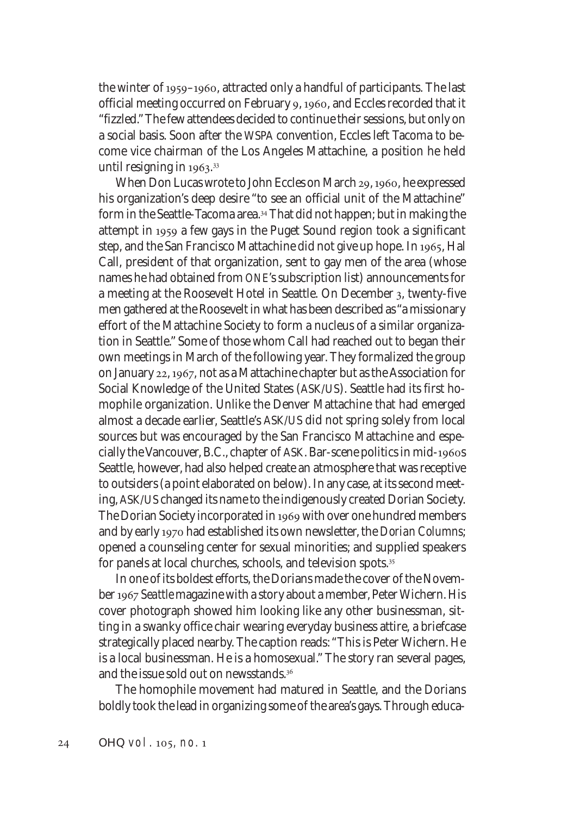the winter of  $1959-1960$ , attracted only a handful of participants. The last official meeting occurred on February 9, 1960, and Eccles recorded that it "fizzled." The few attendees decided to continue their sessions, but only on a social basis. Soon after the WSPA convention, Eccles left Tacoma to become vice chairman of the Los Angeles Mattachine, a position he held until resigning in 1963.<sup>33</sup>

When Don Lucas wrote to John Eccles on March 29, 1960, he expressed his organization's deep desire "to see an official unit of the Mattachine" form in the Seattle-Tacoma area.<sup>34</sup> That did not happen; but in making the attempt in 1959 a few gays in the Puget Sound region took a significant step, and the San Francisco Mattachine did not give up hope. In 1965, Hal Call, president of that organization, sent to gay men of the area (whose names he had obtained from *ONE*'s subscription list) announcements for a meeting at the Roosevelt Hotel in Seattle. On December , twenty-five men gathered at the Roosevelt in what has been described as "a missionary effort of the Mattachine Society to form a nucleus of a similar organization in Seattle." Some of those whom Call had reached out to began their own meetings in March of the following year. They formalized the group on January 22, 1967, not as a Mattachine chapter but as the Association for Social Knowledge of the United States (ASK/US). Seattle had its first homophile organization. Unlike the Denver Mattachine that had emerged almost a decade earlier, Seattle's ASK/US did not spring solely from local sources but was encouraged by the San Francisco Mattachine and especially the Vancouver, B.C., chapter of ASK. Bar-scene politics in mid-1960s Seattle, however, had also helped create an atmosphere that was receptive to outsiders (a point elaborated on below). In any case, at its second meeting, ASK/US changed its name to the indigenously created Dorian Society. The Dorian Society incorporated in 1969 with over one hundred members and by early had established its own newsletter, the *Dorian Columns*; opened a counseling center for sexual minorities; and supplied speakers for panels at local churches, schools, and television spots.

In one of its boldest efforts, the Dorians made the cover of the November *Seattle* magazine with a story about a member, Peter Wichern. His cover photograph showed him looking like any other businessman, sitting in a swanky office chair wearing everyday business attire, a briefcase strategically placed nearby. The caption reads: "This is Peter Wichern. He is a local businessman. He is a homosexual." The story ran several pages, and the issue sold out on newsstands. $^{\rm 36}$ 

The homophile movement had matured in Seattle, and the Dorians boldly took the lead in organizing some of the area's gays. Through educa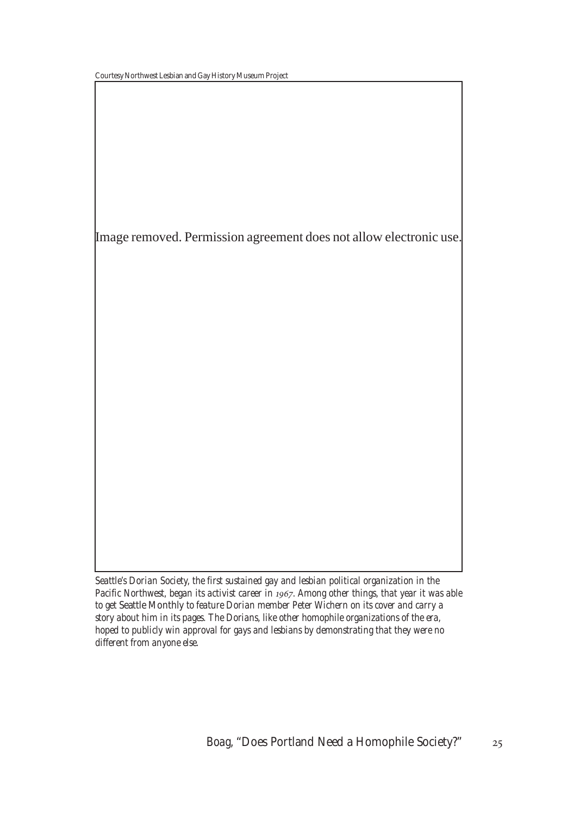Image removed. Permission agreement does not allow electronic use.

*Seattle's Dorian Society, the first sustained gay and lesbian political organization in the* Pacific Northwest, began its activist career in 1967. Among other things, that year it was able *to get* Seattle Monthly *to feature Dorian member Peter Wichern on its cover and carry a story about him in its pages. The Dorians, like other homophile organizations of the era, hoped to publicly win approval for gays and lesbians by demonstrating that they were no different from anyone else.*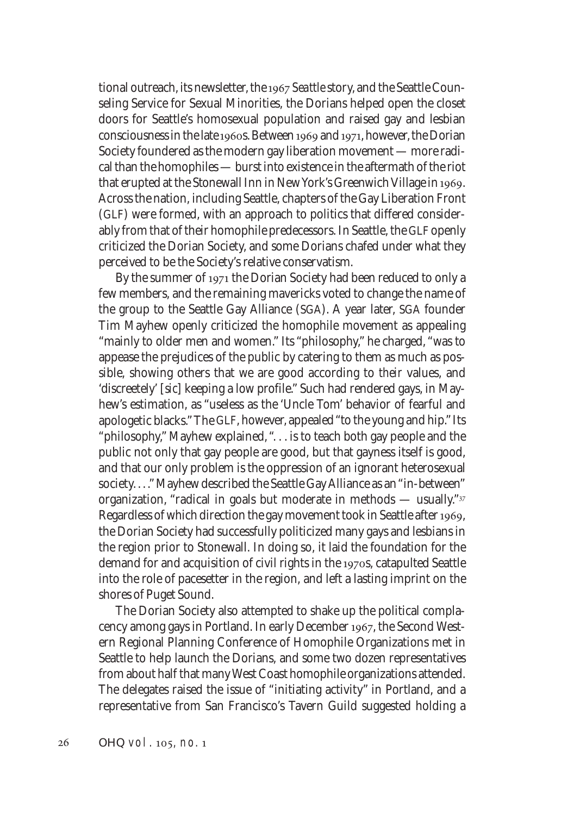tional outreach, its newsletter, the 1967 Seattle story, and the Seattle Counseling Service for Sexual Minorities, the Dorians helped open the closet doors for Seattle's homosexual population and raised gay and lesbian consciousness in the late 1960s. Between 1969 and 1971, however, the Dorian Society foundered as the modern gay liberation movement — more radical than the homophiles — burst into existence in the aftermath of the riot that erupted at the Stonewall Inn in New York's Greenwich Village in . Across the nation, including Seattle, chapters of the Gay Liberation Front (GLF) were formed, with an approach to politics that differed considerably from that of their homophile predecessors. In Seattle, the GLF openly criticized the Dorian Society, and some Dorians chafed under what they perceived to be the Society's relative conservatism.

By the summer of 1971 the Dorian Society had been reduced to only a few members, and the remaining mavericks voted to change the name of the group to the Seattle Gay Alliance (SGA). A year later, SGA founder Tim Mayhew openly criticized the homophile movement as appealing "mainly to older men and women." Its "philosophy," he charged, "was to appease the prejudices of the public by catering to them as much as possible, showing others that we are good according to *their* values, and 'discreetely' [*sic*] keeping a low profile." Such had rendered gays, in Mayhew's estimation, as "useless as the 'Uncle Tom' behavior of fearful and apologetic blacks." The GLF, however, appealed "to the young and hip." Its "philosophy," Mayhew explained, ". . . is to teach both gay people and the public not only that gay people are good, but that gayness itself is good, and that our only problem is the oppression of an ignorant heterosexual society. . . ." Mayhew described the Seattle Gay Alliance as an "in-between" organization, "radical in goals but moderate in methods — usually." Regardless of which direction the gay movement took in Seattle after 1969, the Dorian Society had successfully politicized many gays and lesbians in the region prior to Stonewall. In doing so, it laid the foundation for the demand for and acquisition of civil rights in the 1970s, catapulted Seattle into the role of pacesetter in the region, and left a lasting imprint on the shores of Puget Sound.

The Dorian Society also attempted to shake up the political complacency among gays in Portland. In early December 1967, the Second Western Regional Planning Conference of Homophile Organizations met in Seattle to help launch the Dorians, and some two dozen representatives from about half that many West Coast homophile organizations attended. The delegates raised the issue of "initiating activity" in Portland, and a representative from San Francisco's Tavern Guild suggested holding a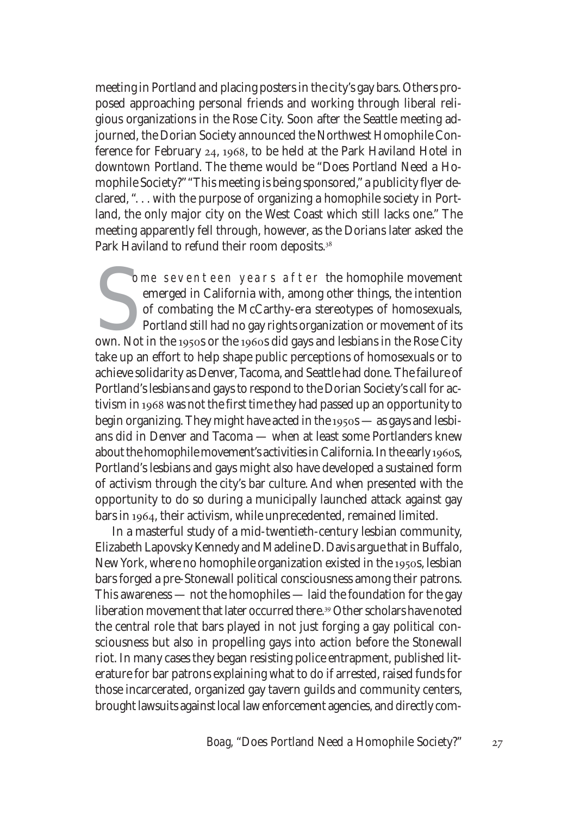meeting in Portland and placing posters in the city's gay bars. Others proposed approaching personal friends and working through liberal religious organizations in the Rose City. Soon after the Seattle meeting adjourned, the Dorian Society announced the Northwest Homophile Conference for February  $24$ , 1968, to be held at the Park Haviland Hotel in downtown Portland. The theme would be "Does Portland Need a Homophile Society?" "This meeting is being sponsored," a publicity flyer declared, ". . . with the purpose of organizing a homophile society in Portland, the only major city on the West Coast which still lacks one." The meeting apparently fell through, however, as the Dorians later asked the Park Haviland to refund their room deposits.<sup>38</sup>

ome seventeen years after the homophile movement emerged in California with, among other things, the intention of combating the McCarthy-era stereotypes of homosexuals, Portland still had no gay rights organization or move ome seventeen years after the homophile movement emerged in California with, among other things, the intention of combating the McCarthy-era stereotypes of homosexuals, Portland still had no gay rights organization or movement of its take up an effort to help shape public perceptions of homosexuals or to achieve solidarity as Denver, Tacoma, and Seattle had done. The failure of Portland's lesbians and gays to respond to the Dorian Society's call for activism in 1968 was not the first time they had passed up an opportunity to begin organizing. They might have acted in the  $1950s$  — as gays and lesbians did in Denver and Tacoma — when at least some Portlanders knew about the homophile movement's activities in California. In the early 1960s, Portland's lesbians and gays might also have developed a sustained form of activism through the city's bar culture. And when presented with the opportunity to do so during a municipally launched attack against gay bars in 1964, their activism, while unprecedented, remained limited.

In a masterful study of a mid-twentieth-century lesbian community, Elizabeth Lapovsky Kennedy and Madeline D. Davis argue that in Buffalo, New York, where no homophile organization existed in the 1950s, lesbian bars forged a pre-Stonewall political consciousness among their patrons. This awareness — not the homophiles — laid the foundation for the gay liberation movement that later occurred there.<sup>39</sup> Other scholars have noted the central role that bars played in not just forging a gay political consciousness but also in propelling gays into action before the Stonewall riot. In many cases they began resisting police entrapment, published literature for bar patrons explaining what to do if arrested, raised funds for those incarcerated, organized gay tavern guilds and community centers, brought lawsuits against local law enforcement agencies, and directly com-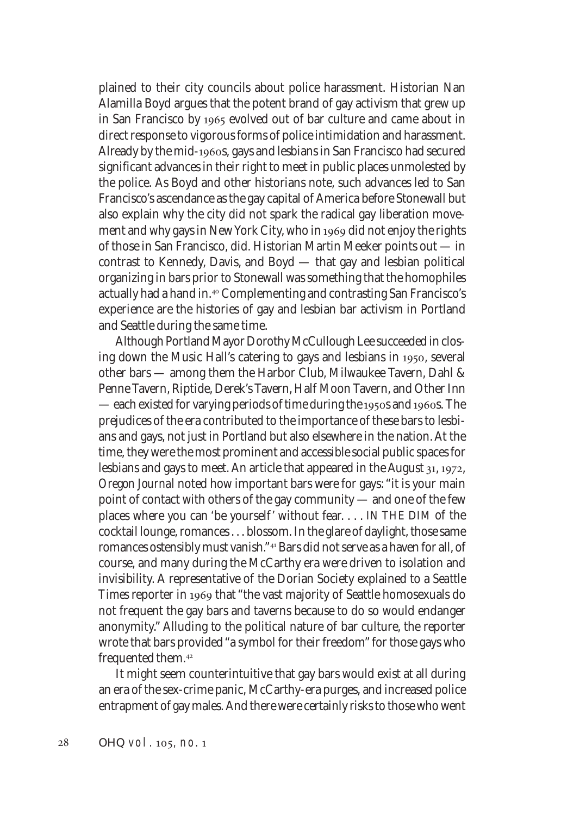plained to their city councils about police harassment. Historian Nan Alamilla Boyd argues that the potent brand of gay activism that grew up in San Francisco by 1965 evolved out of bar culture and came about in direct response to vigorous forms of police intimidation and harassment. Already by the mid-1960s, gays and lesbians in San Francisco had secured significant advances in their right to meet in public places unmolested by the police. As Boyd and other historians note, such advances led to San Francisco's ascendance as the gay capital of America before Stonewall but also explain why the city did not spark the radical gay liberation movement and why gays in New York City, who in 1969 did not enjoy the rights of those in San Francisco, did. Historian Martin Meeker points out — in contrast to Kennedy, Davis, and Boyd — that gay and lesbian political organizing in bars prior to Stonewall was something that the homophiles actually had a hand in.<sup>40</sup> Complementing and contrasting San Francisco's experience are the histories of gay and lesbian bar activism in Portland and Seattle during the same time.

Although Portland Mayor Dorothy McCullough Lee succeeded in closing down the Music Hall's catering to gays and lesbians in 1950, several other bars — among them the Harbor Club, Milwaukee Tavern, Dahl & Penne Tavern, Riptide, Derek's Tavern, Half Moon Tavern, and Other Inn — each existed for varying periods of time during the 1950s and 1960s. The prejudices of the era contributed to the importance of these bars to lesbians and gays, not just in Portland but also elsewhere in the nation. At the time, they were the most prominent and accessible social public spaces for lesbians and gays to meet. An article that appeared in the August  $31, 1972,$ *Oregon Journal* noted how important bars were for gays: "it is your main point of contact with others of the gay community — and one of the few places where you can 'be yourself' without fear. . . . IN THE DIM of the cocktail lounge, romances . . . blossom. In the glare of daylight, those same romances ostensibly must vanish."<sup>41</sup> Bars did not serve as a haven for all, of course, and many during the McCarthy era were driven to isolation and invisibility. A representative of the Dorian Society explained to a *Seattle* Times reporter in 1969 that "the vast majority of Seattle homosexuals do not frequent the gay bars and taverns because to do so would endanger anonymity." Alluding to the political nature of bar culture, the reporter wrote that bars provided "a symbol for their freedom" for those gays who frequented them.

It might seem counterintuitive that gay bars would exist at all during an era of the sex-crime panic, McCarthy-era purges, and increased police entrapment of gay males. And there were certainly risks to those who went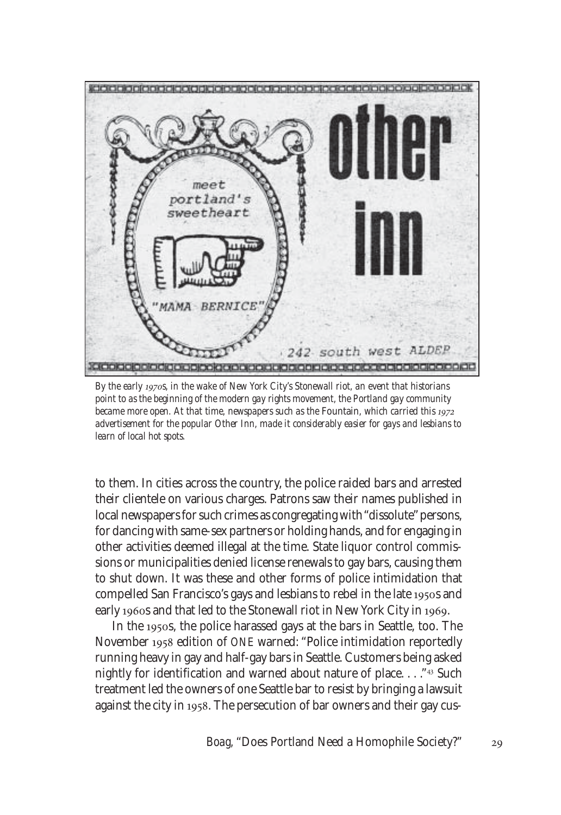

*By the early s, in the wake of New York City's Stonewall riot, an event that historians point to as the beginning of the modern gay rights movement, the Portland gay community became more open. At that time, newspapers such as the Fountain, which carried this* 1972 *advertisement for the popular Other Inn, made it considerably easier for gays and lesbians to learn of local hot spots.*

to them. In cities across the country, the police raided bars and arrested their clientele on various charges. Patrons saw their names published in local newspapers for such crimes as congregating with "dissolute" persons, for dancing with same-sex partners or holding hands, and for engaging in other activities deemed illegal at the time. State liquor control commissions or municipalities denied license renewals to gay bars, causing them to shut down. It was these and other forms of police intimidation that compelled San Francisco's gays and lesbians to rebel in the late 1950s and early 1960s and that led to the Stonewall riot in New York City in 1969.

In the 1950s, the police harassed gays at the bars in Seattle, too. The November 1958 edition of *ONE* warned: "Police intimidation reportedly running heavy in gay and half-gay bars in Seattle. Customers being asked nightly for identification and warned about nature of place...."<sup>43</sup> Such treatment led the owners of one Seattle bar to resist by bringing a lawsuit against the city in 1958. The persecution of bar owners and their gay cus-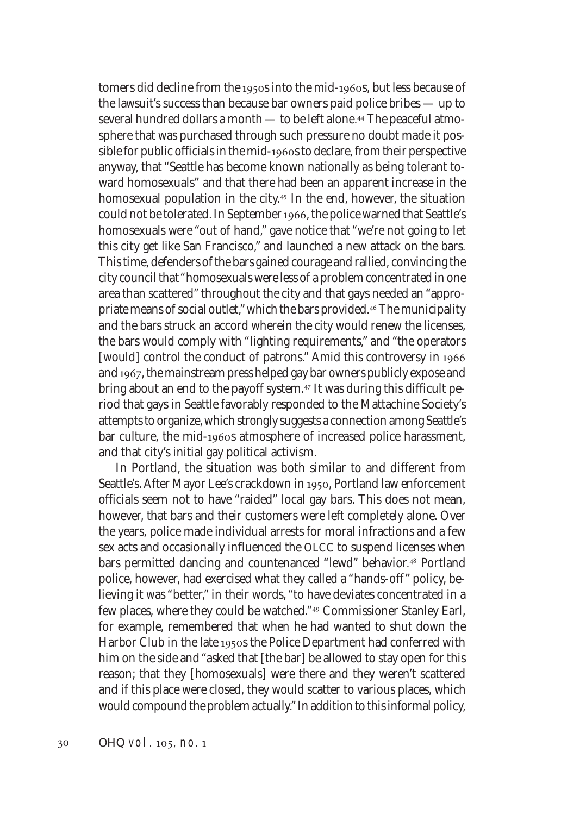tomers did decline from the 1950s into the mid-1960s, but less because of the lawsuit's success than because bar owners paid police bribes — up to several hundred dollars a month — to be left alone.<sup>44</sup> The peaceful atmosphere that was purchased through such pressure no doubt made it possible for public officials in the mid-1960s to declare, from their perspective anyway, that "Seattle has become known nationally as being tolerant toward homosexuals" and that there had been an apparent increase in the homosexual population in the city.<sup> $45$ </sup> In the end, however, the situation could not be tolerated. In September 1966, the police warned that Seattle's homosexuals were "out of hand," gave notice that "we're not going to let this city get like San Francisco," and launched a new attack on the bars. This time, defenders of the bars gained courage and rallied, convincing the city council that "homosexuals were less of a problem concentrated in one area than scattered" throughout the city and that gays needed an "appropriate means of social outlet," which the bars provided.<sup>46</sup> The municipality and the bars struck an accord wherein the city would renew the licenses, the bars would comply with "lighting requirements," and "the operators [would] control the conduct of patrons." Amid this controversy in 1966 and 1967, the mainstream press helped gay bar owners publicly expose and bring about an end to the payoff system.<sup> $47$ </sup> It was during this difficult period that gays in Seattle favorably responded to the Mattachine Society's attempts to organize, which strongly suggests a connection among Seattle's bar culture, the mid-1960s atmosphere of increased police harassment, and that city's initial gay political activism.

In Portland, the situation was both similar to and different from Seattle's. After Mayor Lee's crackdown in 1950, Portland law enforcement officials seem not to have "raided" local gay bars. This does not mean, however, that bars and their customers were left completely alone. Over the years, police made individual arrests for moral infractions and a few sex acts and occasionally influenced the OLCC to suspend licenses when bars permitted dancing and countenanced "lewd" behavior.<sup>48</sup> Portland police, however, had exercised what they called a "hands-off" policy, believing it was "better," in their words, "to have deviates concentrated in a few places, where they could be watched."<sup>49</sup> Commissioner Stanley Earl, for example, remembered that when he had wanted to shut down the Harbor Club in the late 1950s the Police Department had conferred with him on the side and "asked that [the bar] be allowed to stay open for this reason; that they [homosexuals] were there and they weren't scattered and if this place were closed, they would scatter to various places, which would compound the problem actually." In addition to this informal policy,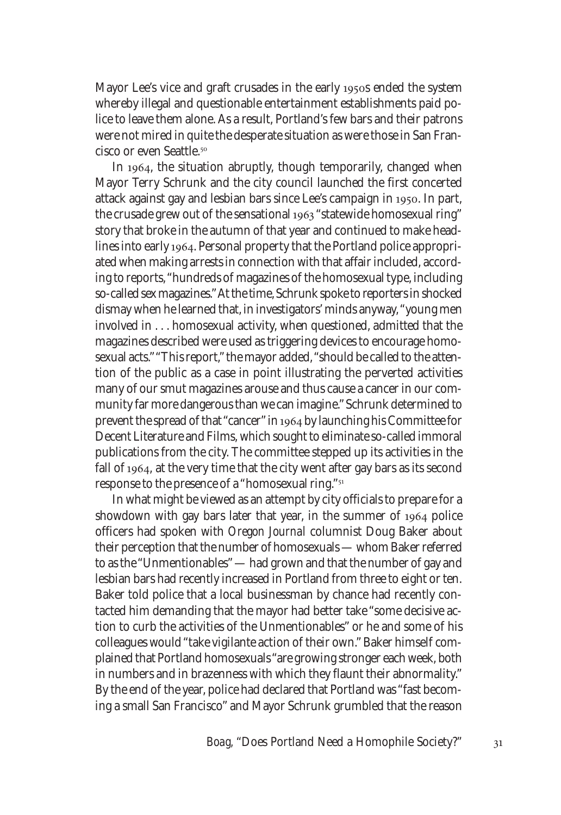Mayor Lee's vice and graft crusades in the early 1950s ended the system whereby illegal and questionable entertainment establishments paid police to leave them alone. As a result, Portland's few bars and their patrons were not mired in quite the desperate situation as were those in San Francisco or even Seattle.

In 1964, the situation abruptly, though temporarily, changed when Mayor Terry Schrunk and the city council launched the first concerted attack against gay and lesbian bars since Lee's campaign in 1950. In part, the crusade grew out of the sensational 1963 "statewide homosexual ring" story that broke in the autumn of that year and continued to make headlines into early 1964. Personal property that the Portland police appropriated when making arrests in connection with that affair included, according to reports, "hundreds of magazines of the homosexual type, including so-called sex magazines." At the time, Schrunk spoke to reporters in shocked dismay when he learned that, in investigators' minds anyway, "young men involved in . . . homosexual activity, when questioned, admitted that the magazines described were used as triggering devices to encourage homosexual acts." "This report," the mayor added, "should be called to the attention of the public as a case in point illustrating the perverted activities many of our smut magazines arouse and thus cause a cancer in our community far more dangerous than we can imagine." Schrunk determined to prevent the spread of that "cancer" in 1964 by launching his Committee for Decent Literature and Films, which sought to eliminate so-called immoral publications from the city. The committee stepped up its activities in the fall of 1964, at the very time that the city went after gay bars as its second response to the presence of a "homosexual ring."

In what might be viewed as an attempt by city officials to prepare for a showdown with gay bars later that year, in the summer of 1964 police officers had spoken with *Oregon Journal* columnist Doug Baker about their perception that the number of homosexuals — whom Baker referred to as the "Unmentionables" — had grown and that the number of gay and lesbian bars had recently increased in Portland from three to eight or ten. Baker told police that a local businessman by chance had recently contacted him demanding that the mayor had better take "some decisive action to curb the activities of the Unmentionables" or he and some of his colleagues would "take vigilante action of their own." Baker himself complained that Portland homosexuals "are growing stronger each week, both in numbers and in brazenness with which they flaunt their abnormality." By the end of the year, police had declared that Portland was "fast becoming a small San Francisco" and Mayor Schrunk grumbled that the reason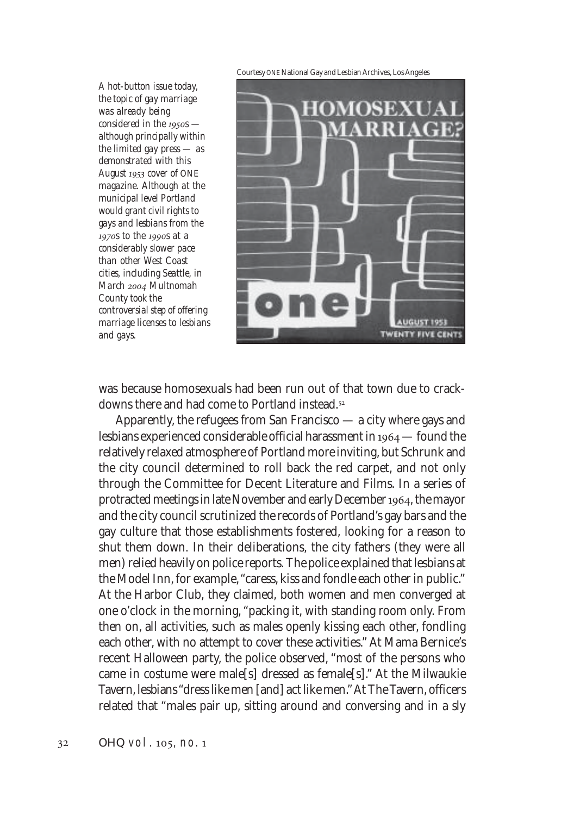Courtesy ONE National Gay and Lesbian Archives, Los Angeles

*A hot-button issue today, the topic of gay marriage was already being considered in the 1950s – although principally within the limited gay press — as demonstrated with this August cover of* ONE *magazine. Although at the municipal level Portland would grant civil rights to gays and lesbians from the s to the s at a considerably slower pace than other West Coast cities, including Seattle, in March Multnomah County took the controversial step of offering marriage licenses to lesbians and gays.*



was because homosexuals had been run out of that town due to crackdowns there and had come to Portland instead.

Apparently, the refugees from San Francisco — a city where gays and lesbians experienced considerable official harassment in  $1964$  – found the relatively relaxed atmosphere of Portland more inviting, but Schrunk and the city council determined to roll back the red carpet, and not only through the Committee for Decent Literature and Films. In a series of protracted meetings in late November and early December 1964, the mayor and the city council scrutinized the records of Portland's gay bars and the gay culture that those establishments fostered, looking for a reason to shut them down. In their deliberations, the city fathers (they were all men) relied heavily on police reports. The police explained that lesbians at the Model Inn, for example, "caress, kiss and fondle each other in public." At the Harbor Club, they claimed, both women and men converged at one o'clock in the morning, "packing it, with standing room only. From then on, all activities, such as males openly kissing each other, fondling each other, with no attempt to cover these activities." At Mama Bernice's recent Halloween party, the police observed, "most of the persons who came in costume were male[s] dressed as female[s]." At the Milwaukie Tavern, lesbians "dress like men [and] act like men." At The Tavern, officers related that "males pair up, sitting around and conversing and in a sly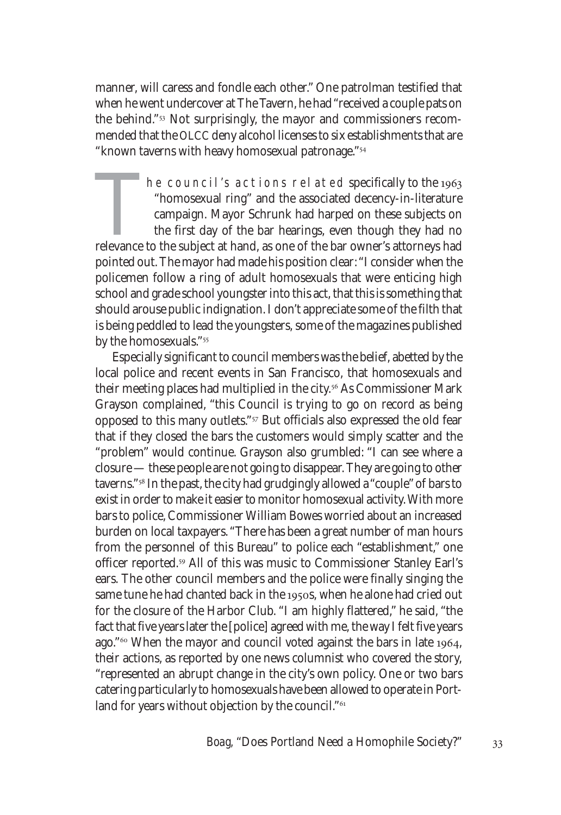manner, will caress and fondle each other." One patrolman testified that when he went undercover at The Tavern, he had "received a couple pats on the behind."<sup>53</sup> Not surprisingly, the mayor and commissioners recommended that the OLCC deny alcohol licenses to six establishments that are "known taverns with heavy homosexual patronage."

 $\mu$  he council's actions related specifically to the 1963 "homosexual ring" and the associated decency-in-literature campaign. Mayor Schrunk had harped on these subjects on the first day of the bar hearings, even though they had no relevance to the subject at hand, as one of the bar owner's attorneys had pointed out. The mayor had made his position clear: "I consider when the policemen follow a ring of adult homosexuals that were enticing high school and grade school youngster into this act, that this is something that should arouse public indignation. I don't appreciate some of the filth that is being peddled to lead the youngsters, some of the magazines published by the homosexuals."

Especially significant to council members was the belief, abetted by the local police and recent events in San Francisco, that homosexuals and their meeting places had multiplied in the city.<sup>56</sup> As Commissioner Mark Grayson complained, "this Council is trying to go on record as being opposed to this many outlets."<sup>57</sup> But officials also expressed the old fear that if they closed the bars the customers would simply scatter and the "problem" would continue. Grayson also grumbled: "I can see where a closure — these people are not going to disappear. They are going to other taverns."<sup>58</sup> In the past, the city had grudgingly allowed a "couple" of bars to exist in order to make it easier to monitor homosexual activity. With more bars to police, Commissioner William Bowes worried about an increased burden on local taxpayers. "There has been a great number of man hours from the personnel of this Bureau" to police each "establishment," one officer reported.<sup>59</sup> All of this was music to Commissioner Stanley Earl's ears. The other council members and the police were finally singing the same tune he had chanted back in the 1950s, when he alone had cried out for the closure of the Harbor Club. "I am highly flattered," he said, "the fact that five years later the [police] agreed with me, the way I felt five years ago."<sup>60</sup> When the mayor and council voted against the bars in late 1964, their actions, as reported by one news columnist who covered the story, "represented an abrupt change in the city's own policy. One or two bars catering particularly to homosexuals have been allowed to operate in Portland for years without objection by the council."<sup>61</sup>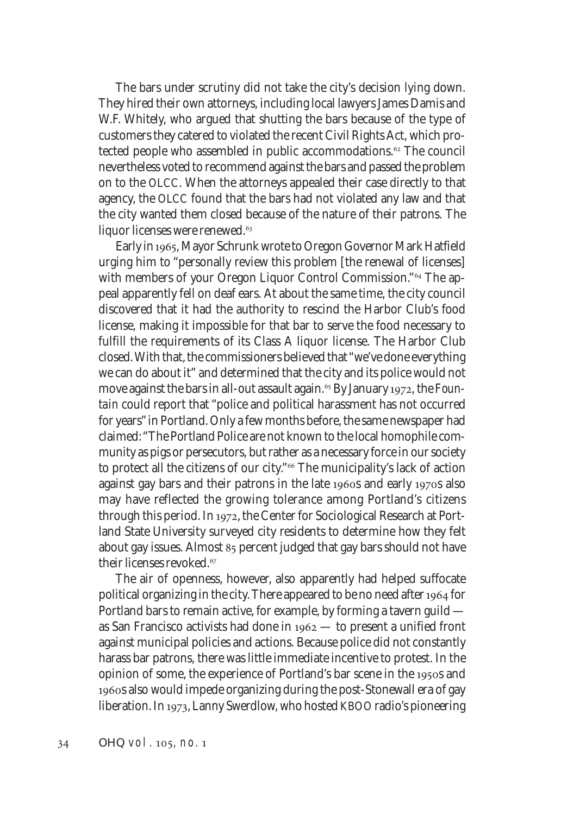The bars under scrutiny did not take the city's decision lying down. They hired their own attorneys, including local lawyers James Damis and W.F. Whitely, who argued that shutting the bars because of the type of customers they catered to violated the recent Civil Rights Act, which protected people who assembled in public accommodations.<sup>62</sup> The council nevertheless voted to recommend against the bars and passed the problem on to the OLCC. When the attorneys appealed their case directly to that agency, the OLCC found that the bars had not violated any law and that the city wanted them closed because of the nature of their patrons. The liquor licenses were renewed.<sup>63</sup>

Early in 1965, Mayor Schrunk wrote to Oregon Governor Mark Hatfield urging him to "personally review this problem [the renewal of licenses] with members of your Oregon Liquor Control Commission."<sup>64</sup> The appeal apparently fell on deaf ears. At about the same time, the city council discovered that it had the authority to rescind the Harbor Club's food license, making it impossible for that bar to serve the food necessary to fulfill the requirements of its Class A liquor license. The Harbor Club closed. With that, the commissioners believed that "we've done everything we can do about it" and determined that the city and its police would not move against the bars in all-out assault again.<sup>65</sup> By January 1972, the *Fountain* could report that "police and political harassment has not occurred for years" in Portland. Only a few months before, the same newspaper had claimed: "The Portland Police are not known to the local homophile community as pigs or persecutors, but rather as a necessary force in our society to protect all the citizens of our city."<sup>66</sup> The municipality's lack of action against gay bars and their patrons in the late 1960s and early 1970s also may have reflected the growing tolerance among Portland's citizens through this period. In 1972, the Center for Sociological Research at Portland State University surveyed city residents to determine how they felt about gay issues. Almost 85 percent judged that gay bars should not have their licenses revoked.

The air of openness, however, also apparently had helped suffocate political organizing in the city. There appeared to be no need after 1964 for Portland bars to remain active, for example, by forming a tavern guild as San Francisco activists had done in  $1962$  — to present a unified front against municipal policies and actions. Because police did not constantly harass bar patrons, there was little immediate incentive to protest. In the opinion of some, the experience of Portland's bar scene in the 1950s and 1960s also would impede organizing during the post-Stonewall era of gay liberation. In 1973, Lanny Swerdlow, who hosted KBOO radio's pioneering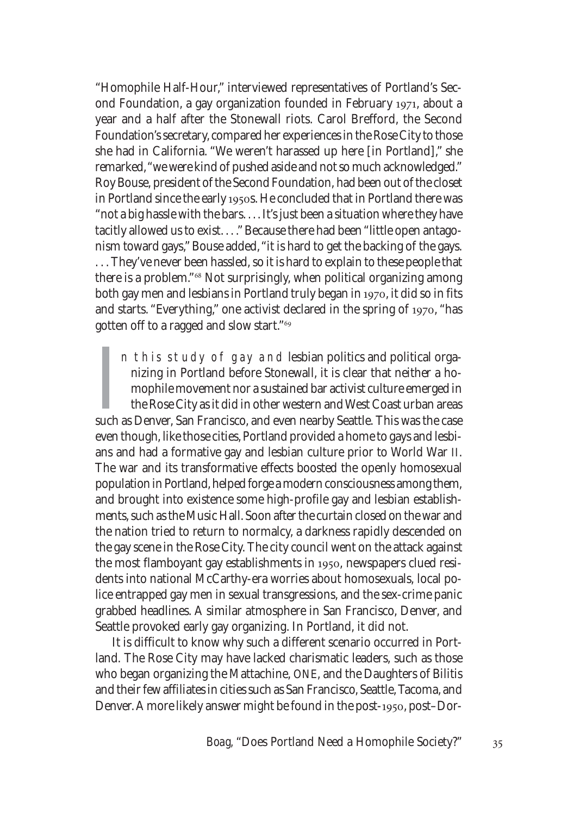"Homophile Half-Hour," interviewed representatives of Portland's Second Foundation, a gay organization founded in February 1971, about a year and a half after the Stonewall riots. Carol Brefford, the Second Foundation's secretary, compared her experiences in the Rose City to those she had in California. "We weren't harassed up here [in Portland]," she remarked, "we were kind of pushed aside and not so much acknowledged." Roy Bouse, president of the Second Foundation, had been out of the closet in Portland since the early 1950s. He concluded that in Portland there was "not a big hassle with the bars. . . . It's just been a situation where they have tacitly allowed us to exist. . . ." Because there had been "little open antagonism toward gays," Bouse added, "it is hard to get the backing of the gays. . . . They've never been hassled, so it is hard to explain to these people that there is a problem."<sup>68</sup> Not surprisingly, when political organizing among both gay men and lesbians in Portland truly began in 1970, it did so in fits and starts. "Everything," one activist declared in the spring of 1970, "has gotten off to a ragged and slow start."

In this study of gay and lesbian politics and political organizing in Portland before Stonewall, it is clear that neither a homophile movement nor a sustained bar activist culture emerged in the Rose City as it did in othe n this study of gay and lesbian politics and political organizing in Portland before Stonewall, it is clear that neither a homophile movement nor a sustained bar activist culture emerged in the Rose City as it did in other western and West Coast urban areas even though, like those cities, Portland provided a home to gays and lesbians and had a formative gay and lesbian culture prior to World War II. The war and its transformative effects boosted the openly homosexual population in Portland, helped forge a modern consciousness among them, and brought into existence some high-profile gay and lesbian establishments, such as the Music Hall. Soon after the curtain closed on the war and the nation tried to return to normalcy, a darkness rapidly descended on the gay scene in the Rose City. The city council went on the attack against the most flamboyant gay establishments in 1950, newspapers clued residents into national McCarthy-era worries about homosexuals, local police entrapped gay men in sexual transgressions, and the sex-crime panic grabbed headlines. A similar atmosphere in San Francisco, Denver, and Seattle provoked early gay organizing. In Portland, it did not.

It is difficult to know why such a different scenario occurred in Portland. The Rose City may have lacked charismatic leaders, such as those who began organizing the Mattachine, ONE, and the Daughters of Bilitis and their few affiliates in cities such as San Francisco, Seattle, Tacoma, and Denver. A more likely answer might be found in the post-1950, post-Dor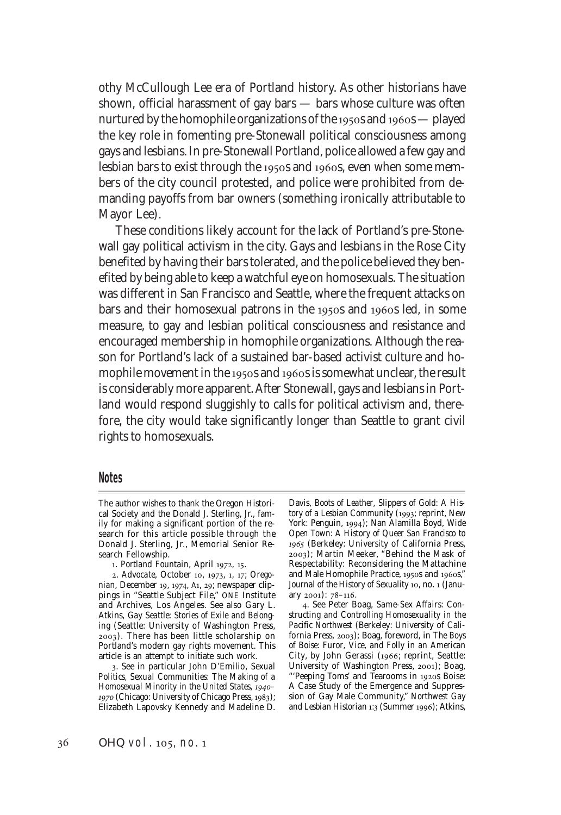othy McCullough Lee era of Portland history. As other historians have shown, official harassment of gay bars — bars whose culture was often nurtured by the homophile organizations of the 1950s and 1960s  $-$  played the key role in fomenting pre-Stonewall political consciousness among gays and lesbians. In pre-Stonewall Portland, police allowed a few gay and lesbian bars to exist through the 1950s and 1960s, even when some members of the city council protested, and police were prohibited from demanding payoffs from bar owners (something ironically attributable to Mayor Lee).

These conditions likely account for the lack of Portland's pre-Stonewall gay political activism in the city. Gays and lesbians in the Rose City benefited by having their bars tolerated, and the police believed they benefited by being able to keep a watchful eye on homosexuals. The situation was different in San Francisco and Seattle, where the frequent attacks on bars and their homosexual patrons in the 1950s and 1960s led, in some measure, to gay and lesbian political consciousness and resistance and encouraged membership in homophile organizations. Although the reason for Portland's lack of a sustained bar-based activist culture and homophile movement in the 1950s and 1960s is somewhat unclear, the result is considerably more apparent. After Stonewall, gays and lesbians in Portland would respond sluggishly to calls for political activism and, therefore, the city would take significantly longer than Seattle to grant civil rights to homosexuals.

## **Notes**

Davis, *Boots of Leather, Slippers of Gold: A History of a Lesbian Community* (1993; reprint, New York: Penguin, 1994); Nan Alamilla Boyd, Wide *Open Town: A History of Queer San Francisco to* (Berkeley: University of California Press, 2003); Martin Meeker, "Behind the Mask of Respectability: Reconsidering the Mattachine and Male Homophile Practice, 1950s and 1960s," Journal of the History of Sexuality<sup>10</sup>, no. 1 (January  $2001$ : 78-116.

The author wishes to thank the Oregon Historical Society and the Donald J. Sterling, Jr., family for making a significant portion of the research for this article possible through the Donald J. Sterling, Jr., Memorial Senior Research Fellowship.

<sup>1.</sup> Portland Fountain, April 1972, 15.

<sup>2.</sup> Advocate, October 10, 1973, 1, 17; Orego*nian*, December 19, 1974, A1, 29; newspaper clippings in "Seattle Subject File," ONE Institute and Archives, Los Angeles. See also Gary L. Atkins, *Gay Seattle: Stories of Exile and Belonging* (Seattle: University of Washington Press, ). There has been little scholarship on Portland's modern gay rights movement. This article is an attempt to initiate such work.

<sup>.</sup> See in particular John D'Emilio, *Sexual Politics, Sexual Communities: The Making of a Homosexual Minority in the United States, –* 1970 (Chicago: University of Chicago Press, 1983); Elizabeth Lapovsky Kennedy and Madeline D.

<sup>.</sup> See Peter Boag, *Same-Sex Affairs: Constructing and Controlling Homosexuality in the Pacific Northwest* (Berkeley: University of California Press, 2003); Boag, foreword, in *The Boys of Boise: Furor, Vice, and Folly in an American City*, by John Gerassi (1966; reprint, Seattle: University of Washington Press, 2001); Boag, "'Peeping Toms' and Tearooms in 1920s Boise: A Case Study of the Emergence and Suppression of Gay Male Community," *Northwest Gay* and Lesbian Historian 1:3 (Summer 1996); Atkins,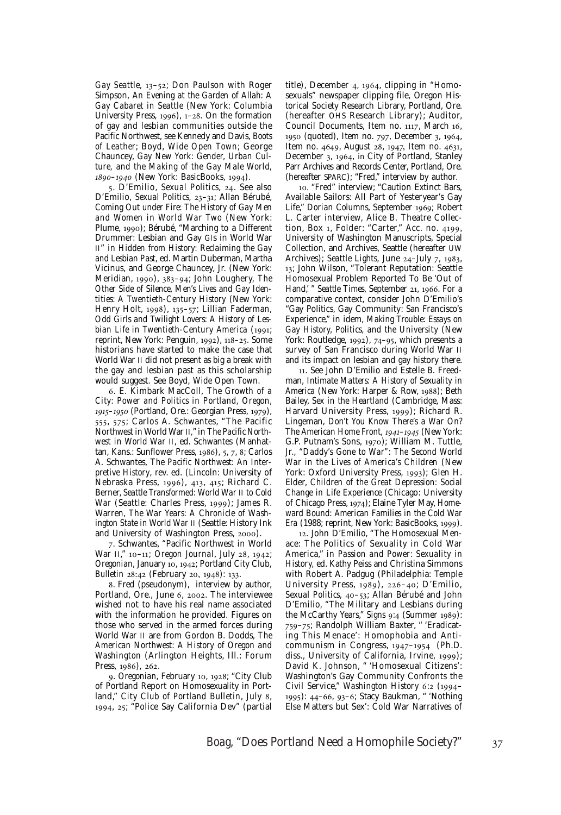Gay Seattle, 13-52; Don Paulson with Roger Simpson, *An Evening at the Garden of Allah: A Gay Cabaret in Seattle* (New York: Columbia University Press,  $1996$ ),  $1-28$ . On the formation of gay and lesbian communities outside the Pacific Northwest, see Kennedy and Davis, *Boots of Leather*; Boyd, *Wide Open Town*; George Chauncey, *Gay New York: Gender, Urban Culture, and the Making of the Gay Male World, 1890-1940* (New York: BasicBooks, 1994).

5. D'Emilio, *Sexual Politics*, 24. See also D'Emilio, *Sexual Politics*, 23-31; Allan Bérubé, *Coming Out under Fire: The History of Gay Men and Women in World War Two* (New York: Plume, 1990); Bérubé, "Marching to a Different Drummer: Lesbian and Gay GIs in World War II" in *Hidden from History: Reclaiming the Gay and Lesbian Past*, ed. Martin Duberman, Martha Vicinus, and George Chauncey, Jr. (New York: Meridian, 1990), 383-94; John Loughery, The *Other Side of Silence, Men's Lives and Gay Identities: A Twentieth-Century History* (New York: Henry Holt, 1998), 135-57; Lillian Faderman, *Odd Girls and Twilight Lovers: A History of Les*bian Life in Twentieth-Century America (1991; reprint, New York: Penguin, 1992), 118-25, Some historians have started to make the case that World War II did not present as big a break with the gay and lesbian past as this scholarship would suggest. See Boyd, *Wide Open Town*.

. E. Kimbark MacColl, *The Growth of a City: Power and Politics in Portland, Oregon,* 1915-1950 (Portland, Ore.: Georgian Press, 1979), 555, 575; Carlos A. Schwantes, "The Pacific Northwest in World War II," in *The Pacific Northwest in World War II*, ed. Schwantes (Manhattan, Kans.: Sunflower Press, 1986), 5, 7, 8; Carlos A. Schwantes, *The Pacific Northwest: An Interpretive History*, rev. ed. (Lincoln: University of Nebraska Press, 1996), 413, 415; Richard C. Berner, *Seattle Transformed: World War II to Cold War* (Seattle: Charles Press, 1999); James R. Warren, *The War Years: A Chronicle of Washington State in World War II* (Seattle: History Ink and University of Washington Press, 2000).

. Schwantes, "Pacific Northwest in World War II," 10-11; *Oregon Journal*, July 28, 1942; *Oregonian*, January 10, 1942; Portland City Club, *Bulletin* 28:42 (February 20, 1948): 133.

. Fred (pseudonym), interview by author, Portland, Ore., June 6, 2002. The interviewee wished not to have his real name associated with the information he provided. Figures on those who served in the armed forces during World War II are from Gordon B. Dodds, *The American Northwest: A History of Oregon and Washington* (Arlington Heights, Ill.: Forum Press, 1986), 262.

9. *Oregonian*, February 10, 1928; "City Club of Portland Report on Homosexuality in Portland," City Club of Portland Bulletin, July 8, 1994, 25; "Police Say California Dev" (partial title), December 4, 1964, clipping in "Homosexuals" newspaper clipping file, Oregon Historical Society Research Library, Portland, Ore. (hereafter OHS Research Library); Auditor, Council Documents, Item no. 1117, March 16, 1950 (quoted), Item no. 797, December 3, 1964, Item no. 4649, August 28, 1947, Item no. 4631, December 3, 1964, in City of Portland, Stanley Parr Archives and Records Center, Portland, Ore. (hereafter SPARC); "Fred," interview by author.

. "Fred" interview; "Caution Extinct Bars, Available Sailors: All Part of Yesteryear's Gay Life," *Dorian Columns*, September 1969; Robert L. Carter interview, Alice B. Theatre Collection, Box 1, Folder: "Carter," Acc. no. 4199, University of Washington Manuscripts, Special Collection, and Archives, Seattle (hereafter UW Archives); *Seattle Lights*, June 24-July 7, 1983, 13; John Wilson, "Tolerant Reputation: Seattle Homosexual Problem Reported To Be 'Out of Hand,' " Seattle Times, September 21, 1966. For a comparative context, consider John D'Emilio's "Gay Politics, Gay Community: San Francisco's Experience," in idem, *Making Trouble: Essays on Gay History, Politics, and the University* (New York: Routledge, 1992), 74-95, which presents a survey of San Francisco during World War II and its impact on lesbian and gay history there.

. See John D'Emilio and Estelle B. Freedman, *Intimate Matters: A History of Sexuality in America* (New York: Harper & Row, 1988); Beth Bailey, *Sex in the Heartland* (Cambridge, Mass: Harvard University Press, 1999); Richard R. Lingeman, *Don't You Know There's a War On? The American Home Front, 1941-1945* (New York: G.P. Putnam's Sons, 1970); William M. Tuttle, Jr., *"Daddy's Gone to War": The Second World War in the Lives of America's Children* (New York: Oxford University Press, 1993); Glen H. Elder, *Children of the Great Depression: Social Change in Life Experience* (Chicago: University of Chicago Press, 1974); Elaine Tyler May, *Homeward Bound: American Families in the Cold War Era* (1988; reprint, New York: BasicBooks, 1999).

. John D'Emilio, "The Homosexual Menace: The Politics of Sexuality in Cold War America," in *Passion and Power: Sexuality in History,* ed. Kathy Peiss and Christina Simmons with Robert A. Padgug (Philadelphia: Temple University Press, 1989), 226-40; D'Emilio, *Sexual Politics*, 40-53; Allan Bérubé and John D'Emilio, "The Military and Lesbians during the McCarthy Years," Signs 9:4 (Summer 1989): –; Randolph William Baxter, " 'Eradicating This Menace': Homophobia and Anticommunism in Congress,  $1947-1954$  (Ph.D. diss., University of California, Irvine, 1999); David K. Johnson, " 'Homosexual Citizens': Washington's Gay Community Confronts the Civil Service," Washington History 6:2 (1994-1995): 44-66, 93-6; Stacy Baukman, " 'Nothing Else Matters but Sex': Cold War Narratives of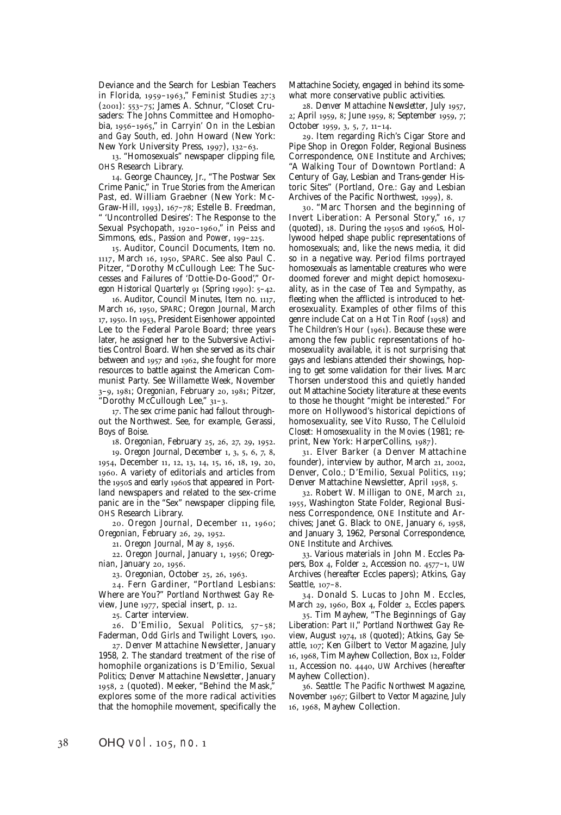Deviance and the Search for Lesbian Teachers in Florida, 1959-1963," Feminist Studies 27:3 (2001): 553-75; James A. Schnur, "Closet Crusaders: The Johns Committee and Homophobia, 1956-1965," in *Carryin' On in the Lesbian and Gay South*, ed. John Howard (New York: New York University Press,  $1997$ ,  $132-63$ .

. "Homosexuals" newspaper clipping file, OHS Research Library.

. George Chauncey, Jr., "The Postwar Sex Crime Panic," in *True Stories from the American Past,* ed. William Graebner (New York: Mc-Graw-Hill, 1993), 167-78; Estelle B. Freedman, 'Uncontrolled Desires': The Response to the Sexual Psychopath, 1920-1960," in Peiss and Simmons, eds., *Passion and Power*, 199-225.

. Auditor, Council Documents, Item no. 1117, March 16, 1950, SPARC. See also Paul C. Pitzer, "Dorothy McCullough Lee: The Successes and Failures of 'Dottie-Do-Good'," *Oregon Historical Quarterly* 91 (Spring 1990): 5-42.

16. Auditor, Council Minutes, Item no. 1117, March 16, 1950, SPARC; *Oregon Journal*, March 17, 1950. In 1953, President Eisenhower appointed Lee to the Federal Parole Board; three years later, he assigned her to the Subversive Activities Control Board. When she served as its chair between and  $1957$  and  $1962$ , she fought for more resources to battle against the American Communist Party. See *Willamette Week*, November 3-9, 1981; *Oregonian*, February 20, 1981; Pitzer, "Dorothy McCullough Lee," 31-3.

. The sex crime panic had fallout throughout the Northwest. See, for example, Gerassi, *Boys of Boise*.

18. *Oregonian*, February 25, 26, 27, 29, 1952.

19. *Oregon Journal*, December 1, 3, 5, 6, 7, 8, 1954, December 11, 12, 13, 14, 15, 16, 18, 19, 20, . A variety of editorials and articles from the 1950s and early 1960s that appeared in Portland newspapers and related to the sex-crime panic are in the "Sex" newspaper clipping file, OHS Research Library.

20. *Oregon Journal*, December 11, 1960; *Oregonian*, February 26, 29, 1952.

21. *Oregon Journal*, May 8, 1956.

22. *Oregon Journal*, January 1, 1956; *Oregonian*, January 20, 1956.

23. *Oregonian*, October 25, 26, 1963.

. Fern Gardiner, "Portland Lesbians: Where are You?" *Portland Northwest Gay Re*view, June 1977, special insert, p. 12.

. Carter interview.

26. D'Emilio, Sexual Politics, 57-58; Faderman, *Odd Girls and Twilight Lovers*, 190.

. *Denver Mattachine Newsletter*, January 1958, 2. The standard treatment of the rise of homophile organizations is D'Emilio, *Sexual Politics*; *Denver Mattachine Newsletter*, January 1958, 2 (quoted). Meeker, "Behind the Mask," explores some of the more radical activities that the homophile movement, specifically the

Mattachine Society, engaged in behind its somewhat more conservative public activities.

. *Denver Mattachine Newsletter,* July , 2; April 1959, 8; June 1959, 8; September 1959, 7; October 1959, 3, 5, 7, 11–14.

. Item regarding Rich's Cigar Store and Pipe Shop in Oregon Folder, Regional Business Correspondence, ONE Institute and Archives; "A Walking Tour of Downtown Portland: A Century of Gay, Lesbian and Trans-gender Historic Sites" (Portland, Ore.: Gay and Lesbian Archives of the Pacific Northwest, 1999), 8.

. "Marc Thorsen and the beginning of Invert Liberation: A Personal Story," 16, 17 (quoted),  $18$ . During the  $1950s$  and  $1960s$ , Hollywood helped shape public representations of homosexuals; and, like the news media, it did so in a negative way. Period films portrayed homosexuals as lamentable creatures who were doomed forever and might depict homosexuality, as in the case of *Tea and Sympathy*, as fleeting when the afflicted is introduced to heterosexuality. Examples of other films of this genre include *Cat on a Hot Tin Roof* (1958) and *The Children's Hour* (1961). Because these were among the few public representations of homosexuality available, it is not surprising that gays and lesbians attended their showings, hoping to get some validation for their lives. Marc Thorsen understood this and quietly handed out Mattachine Society literature at these events to those he thought "might be interested." For more on Hollywood's historical depictions of homosexuality, see Vito Russo, *The Celluloid Closet: Homosexuality in the Movies* (1981; reprint, New York: HarperCollins, 1987).

. Elver Barker (a Denver Mattachine founder), interview by author, March 21, 2002, Denver, Colo.; D'Emilio, *Sexual Politics*, 119; Denver Mattachine Newsletter, April 1958, 5.

32. Robert W. Milligan to ONE, March 21, , Washington State Folder, Regional Business Correspondence, ONE Institute and Archives; Janet G. Black to ONE, January  $6$ , 1958, and January 3, 1962, Personal Correspondence, ONE Institute and Archives.

. Various materials in John M. Eccles Papers, Box 4, Folder 2, Accession no. 4577-1, UW Archives (hereafter Eccles papers); Atkins, *Gay Seattle*, 107-8.

. Donald S. Lucas to John M. Eccles, March 29, 1960, Box 4, Folder 2, Eccles papers.

. Tim Mayhew, "The Beginnings of Gay Liberation: Part II," *Portland Northwest Gay Review*, August 1974, 18 (quoted); Atkins, *Gay Seattle*, ; Ken Gilbert to *Vector Magazine*, July 16, 1968, Tim Mayhew Collection, Box 12, Folder 11, Accession no. 4440, UW Archives (hereafter Mayhew Collection).

. *Seattle: The Pacific Northwest Magazine*, November ; Gilbert to *Vector Magazine*, July 16, 1968, Mayhew Collection.